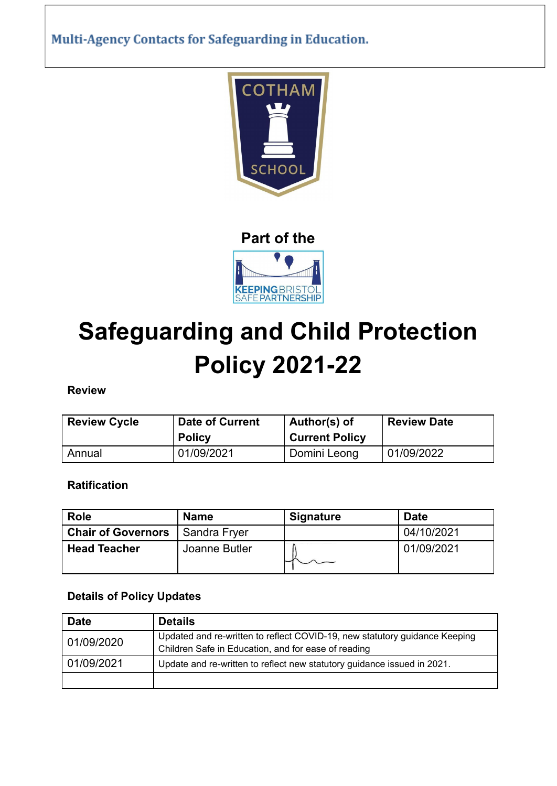**Multi-Agency Contacts for Safeguarding in Education.** 



**Part of the**



# **Safeguarding and Child Protection Policy 2021-22**

#### **Review**

| <b>Review Cycle</b> | <b>Date of Current</b><br><b>Policy</b> | Author(s) of<br><b>Current Policy</b> | <b>Review Date</b> |
|---------------------|-----------------------------------------|---------------------------------------|--------------------|
| Annual              | 01/09/2021                              | Domini Leong                          | 01/09/2022         |

#### **Ratification**

| <b>Role</b>               | Name          | <b>Signature</b> | <b>Date</b> |
|---------------------------|---------------|------------------|-------------|
| <b>Chair of Governors</b> | Sandra Fryer  |                  | 04/10/2021  |
| <b>Head Teacher</b>       | Joanne Butler |                  | 01/09/2021  |

#### **Details of Policy Updates**

| <b>Date</b> | <b>Details</b>                                                             |
|-------------|----------------------------------------------------------------------------|
| 01/09/2020  | Updated and re-written to reflect COVID-19, new statutory guidance Keeping |
|             | Children Safe in Education, and for ease of reading                        |
| 01/09/2021  | Update and re-written to reflect new statutory guidance issued in 2021.    |
|             |                                                                            |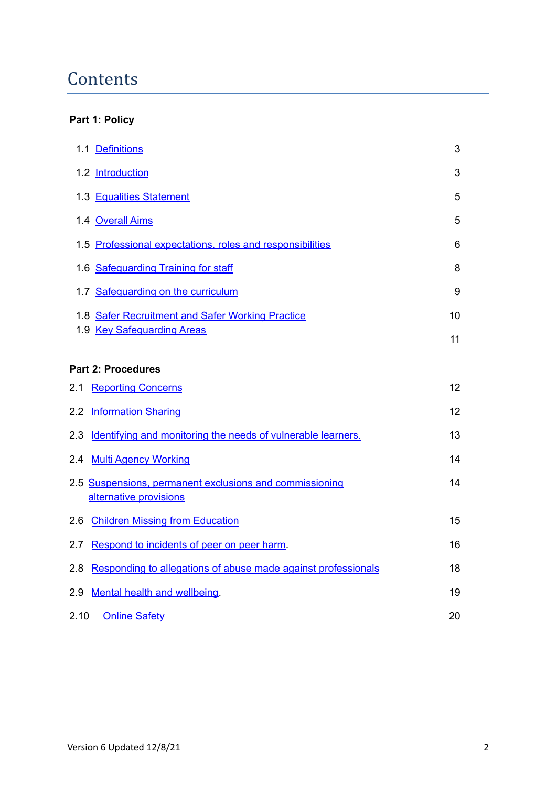# **Contents**

# **Part 1: Policy**

| 1.1 Definitions                                                                   | 3  |
|-----------------------------------------------------------------------------------|----|
| 1.2 Introduction                                                                  | 3  |
| 1.3 Equalities Statement                                                          | 5  |
| 1.4 Overall Aims                                                                  | 5  |
| 1.5 Professional expectations, roles and responsibilities                         | 6  |
| 1.6 Safeguarding Training for staff                                               | 8  |
| 1.7 Safequarding on the curriculum                                                | 9  |
| 1.8 Safer Recruitment and Safer Working Practice                                  | 10 |
| 1.9 Key Safeguarding Areas                                                        | 11 |
| <b>Part 2: Procedures</b>                                                         |    |
| 2.1 Reporting Concerns                                                            | 12 |
| <b>Information Sharing</b><br>2.2                                                 | 12 |
| Identifying and monitoring the needs of vulnerable learners.<br>2.3               | 13 |
| 2.4<br><b>Multi Agency Working</b>                                                | 14 |
| 2.5 Suspensions, permanent exclusions and commissioning<br>alternative provisions | 14 |
| <b>Children Missing from Education</b><br>2.6                                     | 15 |
| 2.7<br>Respond to incidents of peer on peer harm.                                 | 16 |
| 2.8<br>Responding to allegations of abuse made against professionals              | 18 |
| <b>Mental health and wellbeing.</b><br>2.9                                        | 19 |
| 2.10<br><b>Online Safety</b>                                                      | 20 |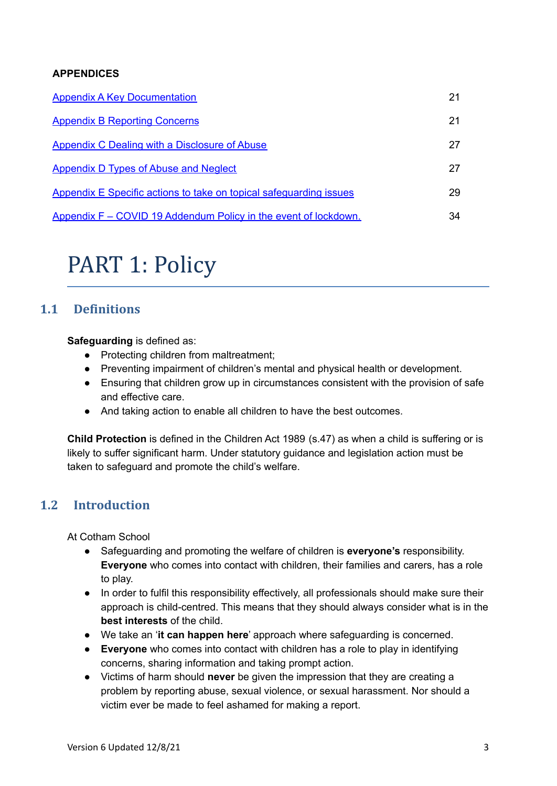#### **APPENDICES**

| <b>Appendix A Key Documentation</b>                                    | 21 |
|------------------------------------------------------------------------|----|
| <b>Appendix B Reporting Concerns</b>                                   | 21 |
| Appendix C Dealing with a Disclosure of Abuse                          | 27 |
| Appendix D Types of Abuse and Neglect                                  | 27 |
| Appendix E Specific actions to take on topical safeguarding issues     | 29 |
| <u>Appendix F – COVID 19 Addendum Policy in the event of lockdown.</u> | 34 |

# PART 1: Policy

# <span id="page-2-0"></span>**1.1 Definitions**

#### **Safeguarding** is defined as:

- Protecting children from maltreatment;
- Preventing impairment of children's mental and physical health or development.
- Ensuring that children grow up in circumstances consistent with the provision of safe and effective care.
- And taking action to enable all children to have the best outcomes.

**Child Protection** is defined in the Children Act 1989 (s.47) as when a child is suffering or is likely to suffer significant harm. Under statutory guidance and legislation action must be taken to safeguard and promote the child's welfare.

# <span id="page-2-1"></span>**1.2 Introduction**

At Cotham School

- Safeguarding and promoting the welfare of children is **everyone's** responsibility. **Everyone** who comes into contact with children, their families and carers, has a role to play.
- In order to fulfil this responsibility effectively, all professionals should make sure their approach is child-centred. This means that they should always consider what is in the **best interests** of the child.
- We take an '**it can happen here**' approach where safeguarding is concerned.
- **Everyone** who comes into contact with children has a role to play in identifying concerns, sharing information and taking prompt action.
- Victims of harm should **never** be given the impression that they are creating a problem by reporting abuse, sexual violence, or sexual harassment. Nor should a victim ever be made to feel ashamed for making a report.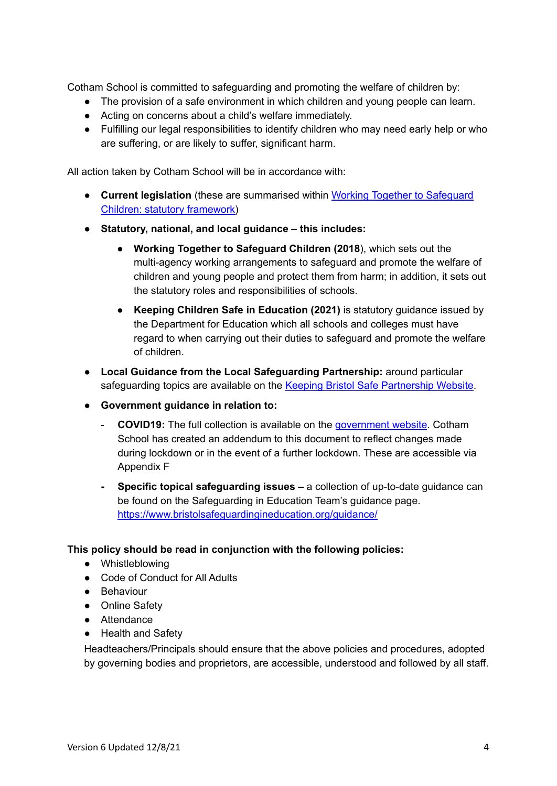Cotham School is committed to safeguarding and promoting the welfare of children by:

- The provision of a safe environment in which children and young people can learn.
- Acting on concerns about a child's welfare immediately.
- Fulfilling our legal responsibilities to identify children who may need early help or who are suffering, or are likely to suffer, significant harm.

All action taken by Cotham School will be in accordance with:

- **Current legislation** (these are summarised within Working Together to [Safeguard](https://assets.publishing.service.gov.uk/government/uploads/system/uploads/attachment_data/file/722307/Working_Together_to_Safeguard_Children_Statutory_framework.pdf) Children: statutory [framework\)](https://assets.publishing.service.gov.uk/government/uploads/system/uploads/attachment_data/file/722307/Working_Together_to_Safeguard_Children_Statutory_framework.pdf)
- **Statutory, national, and local guidance – this includes:**
	- **Working Together to Safeguard Children (2018**), which sets out the multi-agency working arrangements to safeguard and promote the welfare of children and young people and protect them from harm; in addition, it sets out the statutory roles and responsibilities of schools.
	- **Keeping Children Safe in Education (2021)** is statutory guidance issued by the Department for Education which all schools and colleges must have regard to when carrying out their duties to safeguard and promote the welfare of children.
- **Local Guidance from the Local Safeguarding Partnership:** around particular safeguarding topics are available on the Keeping Bristol Safe [Partnership](https://bristolsafeguarding.org/policies-and-guidance/) Website.
- **Government guidance in relation to:**
	- **COVID19:** The full collection is available on the [government](https://www.gov.uk/government/collections/guidance-for-schools-coronavirus-covid-19) website. Cotham School has created an addendum to this document to reflect changes made during lockdown or in the event of a further lockdown. These are accessible via Appendix F
	- **- Specific topical safeguarding issues –** a collection of up-to-date guidance can be found on the Safeguarding in Education Team's guidance page. <https://www.bristolsafeguardingineducation.org/guidance/>

#### **This policy should be read in conjunction with the following policies:**

- Whistleblowing
- Code of Conduct for All Adults
- Behaviour
- Online Safety
- Attendance
- Health and Safety

Headteachers/Principals should ensure that the above policies and procedures, adopted by governing bodies and proprietors, are accessible, understood and followed by all staff.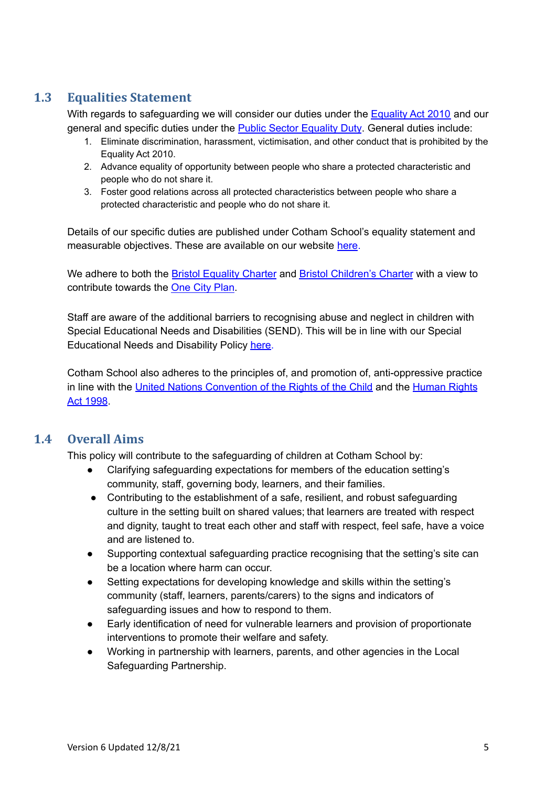# <span id="page-4-0"></span>**1.3 Equalities Statement**

With regards to safeguarding we will consider our duties under the [Equality](https://www.legislation.gov.uk/ukpga/2010/15/contents) Act 2010 and our general and specific duties under the Public Sector [Equality](https://www.gov.uk/government/publications/public-sector-equality-duty) Duty. General duties include:

- 1. Eliminate discrimination, harassment, victimisation, and other conduct that is prohibited by the Equality Act 2010.
- 2. Advance equality of opportunity between people who share a protected characteristic and people who do not share it.
- 3. Foster good relations across all protected characteristics between people who share a protected characteristic and people who do not share it.

Details of our specific duties are published under Cotham School's equality statement and measurable objectives. These are available on our website [here](https://www.cotham.bristol.sch.uk/page/?title=Equality%2C+Diversity+and+Inclusion&pid=162).

We adhere to both the Bristol [Equality](https://www.bristol.gov.uk/people-communities/bristol-equality-charter) Charter and Bristol [Children's](https://news.bristol.gov.uk/news/bristol-launches-first-city-wide-pledge-to-children) Charter with a view to contribute towards the One City [Plan](https://www.bristolonecity.com/wp-content/pdf/BD11190-One-CIty-Plan-web-version.pdf).

Staff are aware of the additional barriers to recognising abuse and neglect in children with Special Educational Needs and Disabilities (SEND). This will be in line with our Special Educational Needs and Disability Policy [here](https://www.cotham.bristol.sch.uk/attachments/download.asp?file=1781&type=pdf).

Cotham School also adheres to the principles of, and promotion of, anti-oppressive practice in line with the United Nations [Convention](https://www.unicef.org.uk/what-we-do/un-convention-child-rights/#:~:text=The%20United%20Nations%20Convention%20on%20the%20Rights%20of,in%20history.%20What%20makes%20the%20UNCRC%20so%20special%3F) of the Rights of the Child and the [Human](https://www.legislation.gov.uk/ukpga/1998/42?timeline=false) Rights Act [1998](https://www.legislation.gov.uk/ukpga/1998/42?timeline=false).

# **1.4 Overall Aims**

<span id="page-4-1"></span>This policy will contribute to the safeguarding of children at Cotham School by:

- Clarifying safeguarding expectations for members of the education setting's community, staff, governing body, learners, and their families.
- Contributing to the establishment of a safe, resilient, and robust safeguarding culture in the setting built on shared values; that learners are treated with respect and dignity, taught to treat each other and staff with respect, feel safe, have a voice and are listened to.
- Supporting contextual safeguarding practice recognising that the setting's site can be a location where harm can occur.
- Setting expectations for developing knowledge and skills within the setting's community (staff, learners, parents/carers) to the signs and indicators of safeguarding issues and how to respond to them.
- Early identification of need for vulnerable learners and provision of proportionate interventions to promote their welfare and safety.
- Working in partnership with learners, parents, and other agencies in the Local Safeguarding Partnership.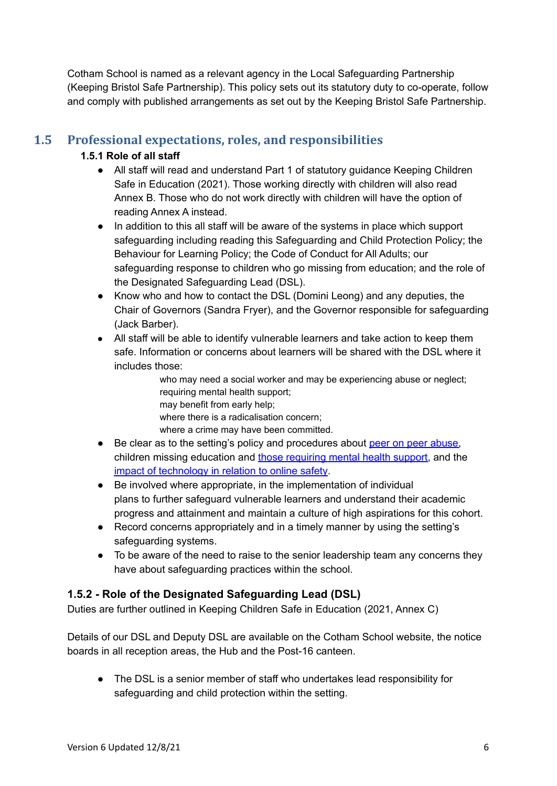Cotham School is named as a relevant agency in the Local Safeguarding Partnership (Keeping Bristol Safe Partnership). This policy sets out its statutory duty to co-operate, follow and comply with published arrangements as set out by the Keeping Bristol Safe Partnership.

# **1.5 Professional expectations, roles, and responsibilities**

#### **1.5.1 Role of all staff**

- All staff will read and understand Part 1 of statutory quidance Keeping Children Safe in Education (2021). Those working directly with children will also read Annex B. Those who do not work directly with children will have the option of reading Annex A instead.
- In addition to this all staff will be aware of the systems in place which support safeguarding including reading this Safeguarding and Child Protection Policy; the Behaviour for Learning Policy; the Code of Conduct for All Adults; our safeguarding response to children who go missing from education; and the role of the Designated Safeguarding Lead (DSL).
- Know who and how to contact the DSL (Domini Leong) and any deputies, the Chair of Governors (Sandra Fryer), and the Governor responsible for safeguarding (Jack Barber).
- All staff will be able to identify vulnerable learners and take action to keep them safe. Information or concerns about learners will be shared with the DSL where it includes those:

who may need a social worker and may be experiencing abuse or neglect; requiring mental health support; may benefit from early help; where there is a radicalisation concern; where a crime may have been committed.

- Be clear as to the setting's policy and procedures about peer on peer [abuse,](#page-14-1) children missing education and those [requiring](#page-17-0) mental health support, and the impact of [technology](#page-18-0) in relation to online safety.
- Be involved where appropriate, in the implementation of individual plans to further safeguard vulnerable learners and understand their academic progress and attainment and maintain a culture of high aspirations for this cohort.
- Record concerns appropriately and in a timely manner by using the setting's safeguarding systems.
- To be aware of the need to raise to the senior leadership team any concerns they have about safeguarding practices within the school.

# **1.5.2 - Role of the Designated Safeguarding Lead (DSL)**

Duties are further outlined in Keeping Children Safe in Education (2021, Annex C)

Details of our DSL and Deputy DSL are available on the Cotham School website, the notice boards in all reception areas, the Hub and the Post-16 canteen.

● The DSL is a senior member of staff who undertakes lead responsibility for safeguarding and child protection within the setting.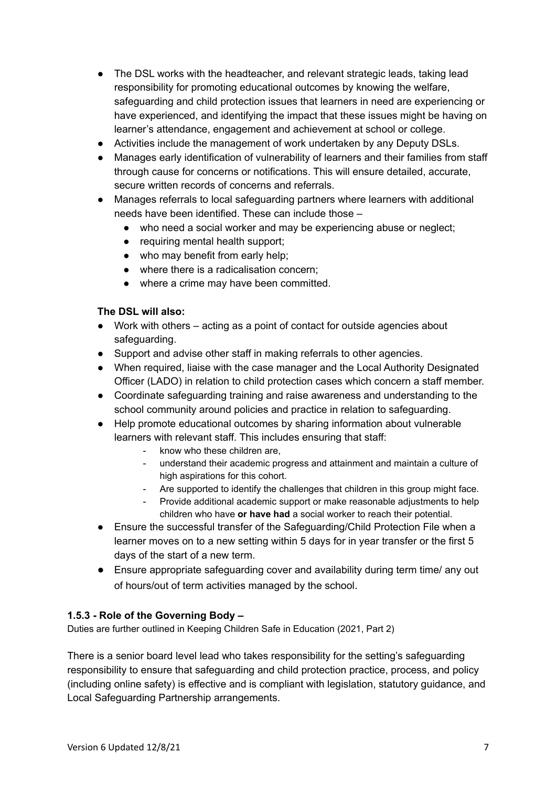- The DSL works with the headteacher, and relevant strategic leads, taking lead responsibility for promoting educational outcomes by knowing the welfare, safeguarding and child protection issues that learners in need are experiencing or have experienced, and identifying the impact that these issues might be having on learner's attendance, engagement and achievement at school or college.
- Activities include the management of work undertaken by any Deputy DSLs.
- Manages early identification of vulnerability of learners and their families from staff through cause for concerns or notifications. This will ensure detailed, accurate, secure written records of concerns and referrals.
- Manages referrals to local safeguarding partners where learners with additional needs have been identified. These can include those –
	- who need a social worker and may be experiencing abuse or neglect;
	- requiring mental health support;
	- who may benefit from early help;
	- where there is a radicalisation concern;
	- where a crime may have been committed.

#### **The DSL will also:**

- Work with others acting as a point of contact for outside agencies about safeguarding.
- Support and advise other staff in making referrals to other agencies.
- When required, liaise with the case manager and the Local Authority Designated Officer (LADO) in relation to child protection cases which concern a staff member.
- Coordinate safeguarding training and raise awareness and understanding to the school community around policies and practice in relation to safeguarding.
- Help promote educational outcomes by sharing information about vulnerable learners with relevant staff. This includes ensuring that staff:
	- know who these children are,
	- understand their academic progress and attainment and maintain a culture of high aspirations for this cohort.
	- Are supported to identify the challenges that children in this group might face.
	- Provide additional academic support or make reasonable adjustments to help children who have **or have had** a social worker to reach their potential.
- Ensure the successful transfer of the Safeguarding/Child Protection File when a learner moves on to a new setting within 5 days for in year transfer or the first 5 days of the start of a new term.
- Ensure appropriate safeguarding cover and availability during term time/ any out of hours/out of term activities managed by the school.

#### **1.5.3 - Role of the Governing Body –**

Duties are further outlined in Keeping Children Safe in Education (2021, Part 2)

There is a senior board level lead who takes responsibility for the setting's safeguarding responsibility to ensure that safeguarding and child protection practice, process, and policy (including online safety) is effective and is compliant with legislation, statutory guidance, and Local Safeguarding Partnership arrangements.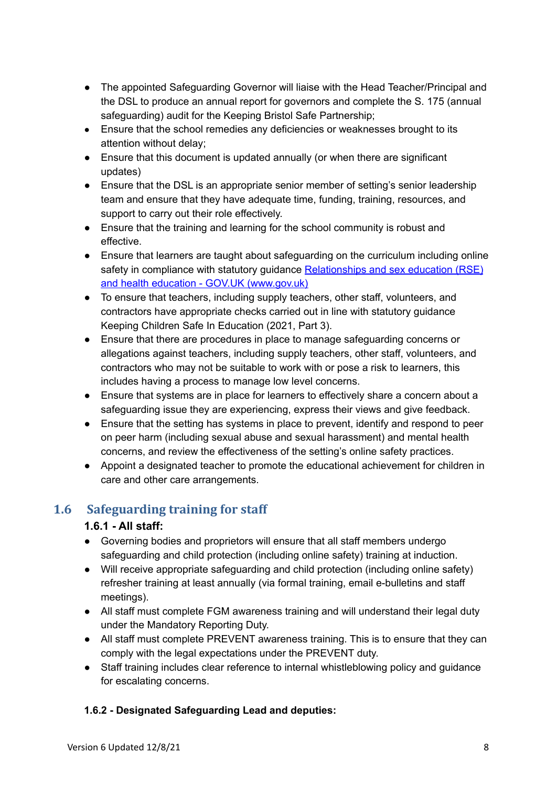- The appointed Safeguarding Governor will liaise with the Head Teacher/Principal and the DSL to produce an annual report for governors and complete the S. 175 (annual safeguarding) audit for the Keeping Bristol Safe Partnership;
- Ensure that the school remedies any deficiencies or weaknesses brought to its attention without delay;
- Ensure that this document is updated annually (or when there are significant updates)
- Ensure that the DSL is an appropriate senior member of setting's senior leadership team and ensure that they have adequate time, funding, training, resources, and support to carry out their role effectively.
- Ensure that the training and learning for the school community is robust and effective.
- Ensure that learners are taught about safeguarding on the curriculum including online safety in compliance with statutory guidance [Relationships](https://www.gov.uk/government/publications/relationships-education-relationships-and-sex-education-rse-and-health-education) and sex education (RSE) and health education - GOV.UK [\(www.gov.uk\)](https://www.gov.uk/government/publications/relationships-education-relationships-and-sex-education-rse-and-health-education)
- To ensure that teachers, including supply teachers, other staff, volunteers, and contractors have appropriate checks carried out in line with statutory guidance Keeping Children Safe In Education (2021, Part 3).
- Ensure that there are procedures in place to manage safeguarding concerns or allegations against teachers, including supply teachers, other staff, volunteers, and contractors who may not be suitable to work with or pose a risk to learners, this includes having a process to manage low level concerns.
- Ensure that systems are in place for learners to effectively share a concern about a safeguarding issue they are experiencing, express their views and give feedback.
- Ensure that the setting has systems in place to prevent, identify and respond to peer on peer harm (including sexual abuse and sexual harassment) and mental health concerns, and review the effectiveness of the setting's online safety practices.
- Appoint a designated teacher to promote the educational achievement for children in care and other care arrangements.

# <span id="page-7-0"></span>**1.6 Safeguarding training for staff**

# **1.6.1 - All staff:**

- Governing bodies and proprietors will ensure that all staff members undergo safeguarding and child protection (including online safety) training at induction.
- Will receive appropriate safeguarding and child protection (including online safety) refresher training at least annually (via formal training, email e-bulletins and staff meetings).
- All staff must complete FGM awareness training and will understand their legal duty under the Mandatory Reporting Duty.
- All staff must complete PREVENT awareness training. This is to ensure that they can comply with the legal expectations under the PREVENT duty.
- Staff training includes clear reference to internal whistleblowing policy and guidance for escalating concerns.

#### **1.6.2 - Designated Safeguarding Lead and deputies:**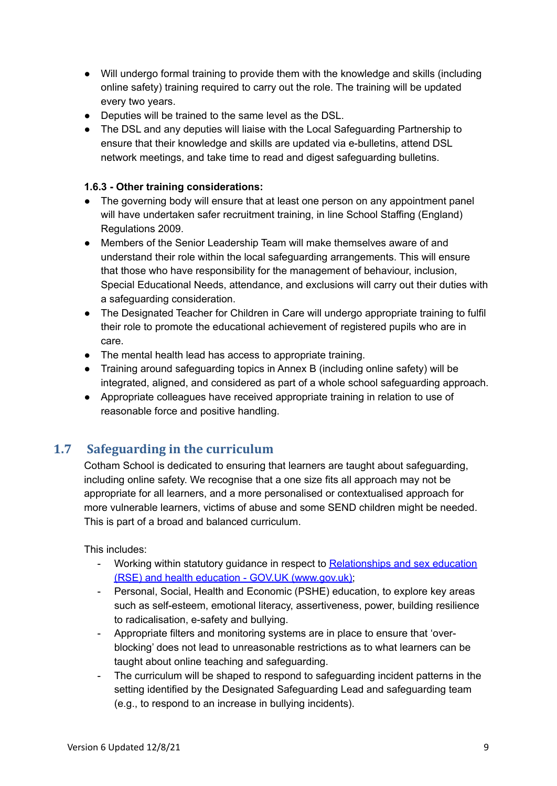- Will undergo formal training to provide them with the knowledge and skills (including online safety) training required to carry out the role. The training will be updated every two years.
- Deputies will be trained to the same level as the DSL.
- The DSL and any deputies will liaise with the Local Safeguarding Partnership to ensure that their knowledge and skills are updated via e-bulletins, attend DSL network meetings, and take time to read and digest safeguarding bulletins.

#### **1.6.3 - Other training considerations:**

- The governing body will ensure that at least one person on any appointment panel will have undertaken safer recruitment training, in line School Staffing (England) Regulations 2009.
- Members of the Senior Leadership Team will make themselves aware of and understand their role within the local safeguarding arrangements. This will ensure that those who have responsibility for the management of behaviour, inclusion, Special Educational Needs, attendance, and exclusions will carry out their duties with a safeguarding consideration.
- The Designated Teacher for Children in Care will undergo appropriate training to fulfil their role to promote the educational achievement of registered pupils who are in care.
- The mental health lead has access to appropriate training.
- Training around safeguarding topics in Annex B (including online safety) will be integrated, aligned, and considered as part of a whole school safeguarding approach.
- Appropriate colleagues have received appropriate training in relation to use of reasonable force and positive handling.

# <span id="page-8-0"></span>**1.7 Safeguarding in the curriculum**

Cotham School is dedicated to ensuring that learners are taught about safeguarding, including online safety. We recognise that a one size fits all approach may not be appropriate for all learners, and a more personalised or contextualised approach for more vulnerable learners, victims of abuse and some SEND children might be needed. This is part of a broad and balanced curriculum.

This includes:

- Working within statutory guidance in respect to [Relationships](https://www.gov.uk/government/publications/relationships-education-relationships-and-sex-education-rse-and-health-education) and sex education (RSE) and health education - GOV.UK [\(www.gov.uk\)](https://www.gov.uk/government/publications/relationships-education-relationships-and-sex-education-rse-and-health-education);
- Personal, Social, Health and Economic (PSHE) education, to explore key areas such as self-esteem, emotional literacy, assertiveness, power, building resilience to radicalisation, e-safety and bullying.
- Appropriate filters and monitoring systems are in place to ensure that 'overblocking' does not lead to unreasonable restrictions as to what learners can be taught about online teaching and safeguarding.
- The curriculum will be shaped to respond to safeguarding incident patterns in the setting identified by the Designated Safeguarding Lead and safeguarding team (e.g., to respond to an increase in bullying incidents).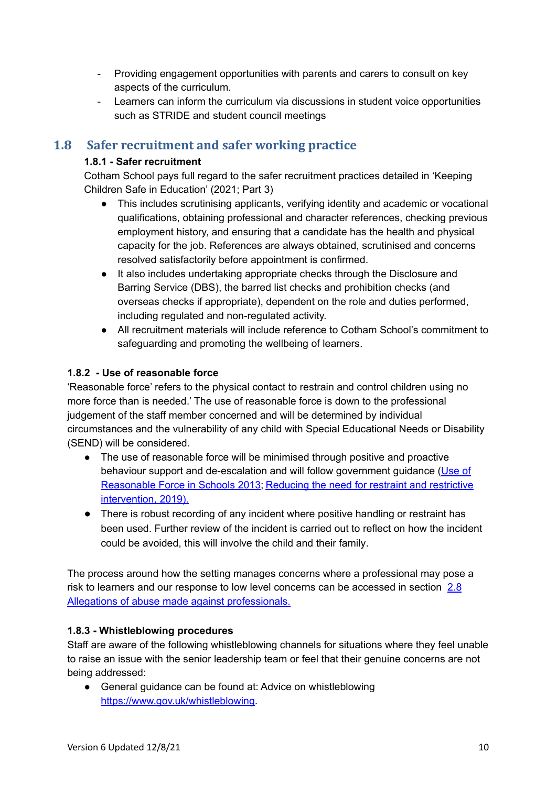- Providing engagement opportunities with parents and carers to consult on key aspects of the curriculum.
- Learners can inform the curriculum via discussions in student voice opportunities such as STRIDE and student council meetings

# <span id="page-9-0"></span>**1.8 Safer recruitment and safer working practice**

#### **1.8.1 - Safer recruitment**

Cotham School pays full regard to the safer recruitment practices detailed in 'Keeping Children Safe in Education' (2021; Part 3)

- This includes scrutinising applicants, verifying identity and academic or vocational qualifications, obtaining professional and character references, checking previous employment history, and ensuring that a candidate has the health and physical capacity for the job. References are always obtained, scrutinised and concerns resolved satisfactorily before appointment is confirmed.
- It also includes undertaking appropriate checks through the Disclosure and Barring Service (DBS), the barred list checks and prohibition checks (and overseas checks if appropriate), dependent on the role and duties performed, including regulated and non-regulated activity.
- All recruitment materials will include reference to Cotham School's commitment to safeguarding and promoting the wellbeing of learners.

#### **1.8.2 - Use of reasonable force**

'Reasonable force' refers to the physical contact to restrain and control children using no more force than is needed.' The use of reasonable force is down to the professional judgement of the staff member concerned and will be determined by individual circumstances and the vulnerability of any child with Special Educational Needs or Disability (SEND) will be considered.

- The use of reasonable force will be minimised through positive and proactive behaviour support and de-escalation and will follow government guidance [\(Use](https://www.gov.uk/government/publications/use-of-reasonable-force-in-schools) of [Reasonable](https://www.gov.uk/government/publications/use-of-reasonable-force-in-schools) Force in Schools 2013; Reducing the need for restraint and [restrictive](https://www.gov.uk/government/publications/reducing-the-need-for-restraint-and-restrictive-intervention) [intervention,](https://www.gov.uk/government/publications/reducing-the-need-for-restraint-and-restrictive-intervention) 2019).
- There is robust recording of any incident where positive handling or restraint has been used. Further review of the incident is carried out to reflect on how the incident could be avoided, this will involve the child and their family.

The process around how the setting manages concerns where a professional may pose a risk to learners and our response to low level concerns can be accessed in section [2.8](#page-16-0) Allegations of abuse made against [professionals.](#page-16-0)

#### **1.8.3 - Whistleblowing procedures**

Staff are aware of the following whistleblowing channels for situations where they feel unable to raise an issue with the senior leadership team or feel that their genuine concerns are not being addressed:

● General guidance can be found at: Advice on whistleblowing [https://www.gov.uk/whistleblowing.](https://www.gov.uk/whistleblowing)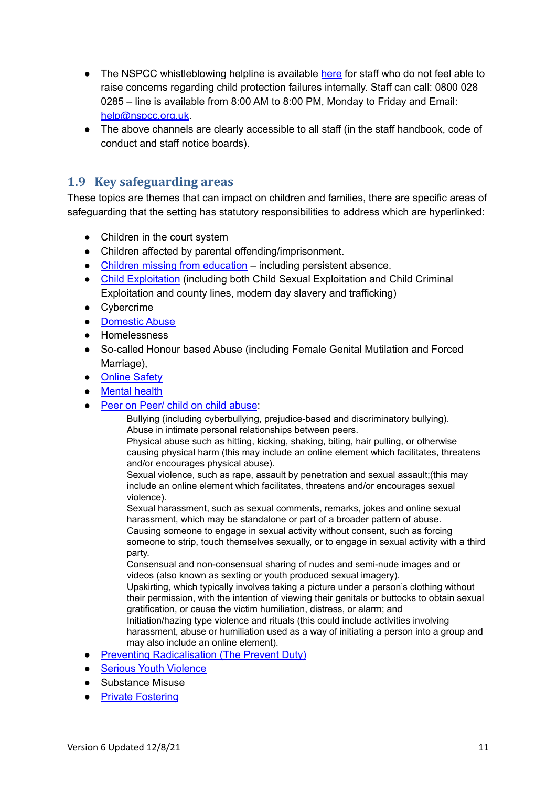- The NSPCC whistleblowing helpline is available [here](https://www.nspcc.org.uk/what-you-can-do/report-abuse/dedicated-helplines/whistleblowing-advice-line/) for staff who do not feel able to raise concerns regarding child protection failures internally. Staff can call: 0800 028 0285 – line is available from 8:00 AM to 8:00 PM, Monday to Friday and Email: [help@nspcc.org.uk](mailto:help@nspcc.org.uk).
- The above channels are clearly accessible to all staff (in the staff handbook, code of conduct and staff notice boards).

# <span id="page-10-0"></span>**1.9 Key safeguarding areas**

These topics are themes that can impact on children and families, there are specific areas of safeguarding that the setting has statutory responsibilities to address which are hyperlinked:

- Children in the court system
- Children affected by parental offending/imprisonment.
- Children missing from [education](#page-14-0) including persistent absence.
- Child [Exploitation](#page-28-1) (including both Child Sexual Exploitation and Child Criminal Exploitation and county lines, modern day slavery and trafficking)
- Cybercrime
- **[Domestic](#page-29-0) Abuse**
- **Homelessness**
- So-called Honour based Abuse (including Female Genital Mutilation and Forced Marriage),
- **[Online](#page-18-0) Safety**
- [Mental](#page-17-0) health
- Peer on Peer/ child on child [abuse](#page-14-1):

Bullying (including cyberbullying, prejudice-based and discriminatory bullying). Abuse in intimate personal relationships between peers.

Physical abuse such as hitting, kicking, shaking, biting, hair pulling, or otherwise causing physical harm (this may include an online element which facilitates, threatens and/or encourages physical abuse).

Sexual violence, such as rape, assault by penetration and sexual assault;(this may include an online element which facilitates, threatens and/or encourages sexual violence).

Sexual harassment, such as sexual comments, remarks, jokes and online sexual harassment, which may be standalone or part of a broader pattern of abuse. Causing someone to engage in sexual activity without consent, such as forcing someone to strip, touch themselves sexually, or to engage in sexual activity with a third party.

Consensual and non-consensual sharing of nudes and semi-nude images and or videos (also known as sexting or youth produced sexual imagery).

Upskirting, which typically involves taking a picture under a person's clothing without their permission, with the intention of viewing their genitals or buttocks to obtain sexual gratification, or cause the victim humiliation, distress, or alarm; and Initiation/hazing type violence and rituals (this could include activities involving harassment, abuse or humiliation used as a way of initiating a person into a group and may also include an online element).

- Preventing [Radicalisation](#page-31-0) (The Prevent Duty)
- **Serious Youth [Violence](#page-30-0)**
- Substance Misuse
- Private [Fostering](#page-31-1)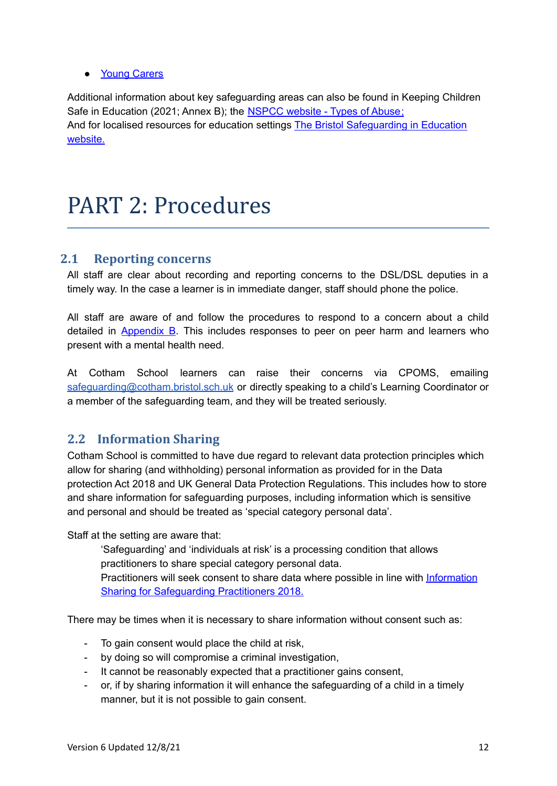#### ● Young [Carers](#page-32-0)

Additional information about key safeguarding areas can also be found in Keeping Children Safe in Education (2021; Annex B); the [NSPCC](https://www.nspcc.org.uk/what-is-child-abuse/types-of-abuse/) website - Types of Abuse; And for localised resources for education settings The Bristol [Safeguarding](https://www.bristolsafeguardingineducation.org/) in Education [website.](https://www.bristolsafeguardingineducation.org/)

# PART 2: Procedures

#### <span id="page-11-0"></span>**2.1 Reporting concerns**

All staff are clear about recording and reporting concerns to the DSL/DSL deputies in a timely way. In the case a learner is in immediate danger, staff should phone the police.

<span id="page-11-1"></span>All staff are aware of and follow the procedures to respond to a concern about a child detailed in  $\Delta$ ppendix  $\overline{B}$ . This includes responses to peer on peer harm and learners who present with a mental health need.

At Cotham School learners can raise their concerns via CPOMS, emailing [safeguarding@cotham.bristol.sch.uk](mailto:safeguarding@cotham.bristol.sch.uk) or directly speaking to a child's Learning Coordinator or a member of the safeguarding team, and they will be treated seriously.

# **2.2 Information Sharing**

Cotham School is committed to have due regard to relevant data protection principles which allow for sharing (and withholding) personal information as provided for in the Data protection Act 2018 and UK General Data Protection Regulations. This includes how to store and share information for safeguarding purposes, including information which is sensitive and personal and should be treated as 'special category personal data'.

Staff at the setting are aware that:

'Safeguarding' and 'individuals at risk' is a processing condition that allows practitioners to share special category personal data. Practitioners will seek consent to share data where possible in line with [Information](https://assets.publishing.service.gov.uk/government/uploads/system/uploads/attachment_data/file/721581/Information_sharing_advice_practitioners_safeguarding_services.pdf) Sharing for [Safeguarding](https://assets.publishing.service.gov.uk/government/uploads/system/uploads/attachment_data/file/721581/Information_sharing_advice_practitioners_safeguarding_services.pdf) Practitioners 2018.

There may be times when it is necessary to share information without consent such as:

- To gain consent would place the child at risk,
- by doing so will compromise a criminal investigation,
- It cannot be reasonably expected that a practitioner gains consent,
- or, if by sharing information it will enhance the safeguarding of a child in a timely manner, but it is not possible to gain consent.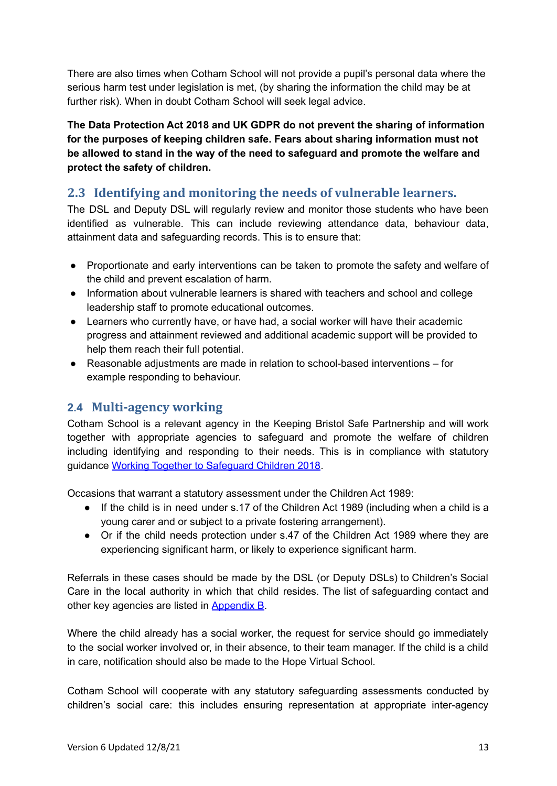There are also times when Cotham School will not provide a pupil's personal data where the serious harm test under legislation is met, (by sharing the information the child may be at further risk). When in doubt Cotham School will seek legal advice.

**The Data Protection Act 2018 and UK GDPR do not prevent the sharing of information for the purposes of keeping children safe. Fears about sharing information must not be allowed to stand in the way of the need to safeguard and promote the welfare and protect the safety of children.**

# <span id="page-12-0"></span>**2.3 Identifying and monitoring the needs of vulnerable learners.**

The DSL and Deputy DSL will regularly review and monitor those students who have been identified as vulnerable. This can include reviewing attendance data, behaviour data, attainment data and safeguarding records. This is to ensure that:

- Proportionate and early interventions can be taken to promote the safety and welfare of the child and prevent escalation of harm.
- Information about vulnerable learners is shared with teachers and school and college leadership staff to promote educational outcomes.
- Learners who currently have, or have had, a social worker will have their academic progress and attainment reviewed and additional academic support will be provided to help them reach their full potential.
- Reasonable adjustments are made in relation to school-based interventions for example responding to behaviour.

# <span id="page-12-1"></span>**2.4 Multi-agency working**

Cotham School is a relevant agency in the Keeping Bristol Safe Partnership and will work together with appropriate agencies to safeguard and promote the welfare of children including identifying and responding to their needs. This is in compliance with statutory guidance Working Together to [Safeguard](https://assets.publishing.service.gov.uk/government/uploads/system/uploads/attachment_data/file/779401/Working_Together_to_Safeguard-Children.pdf) Children 2018.

Occasions that warrant a statutory assessment under the Children Act 1989:

- If the child is in need under s.17 of the Children Act 1989 (including when a child is a young carer and or subject to a private fostering arrangement).
- Or if the child needs protection under s.47 of the Children Act 1989 where they are experiencing significant harm, or likely to experience significant harm.

Referrals in these cases should be made by the DSL (or Deputy DSLs) to Children's Social Care in the local authority in which that child resides. The list of safeguarding contact and other key agencies are listed in **[Appendix](#page-20-0) B**.

Where the child already has a social worker, the request for service should go immediately to the social worker involved or, in their absence, to their team manager. If the child is a child in care, notification should also be made to the Hope Virtual School.

Cotham School will cooperate with any statutory safeguarding assessments conducted by children's social care: this includes ensuring representation at appropriate inter-agency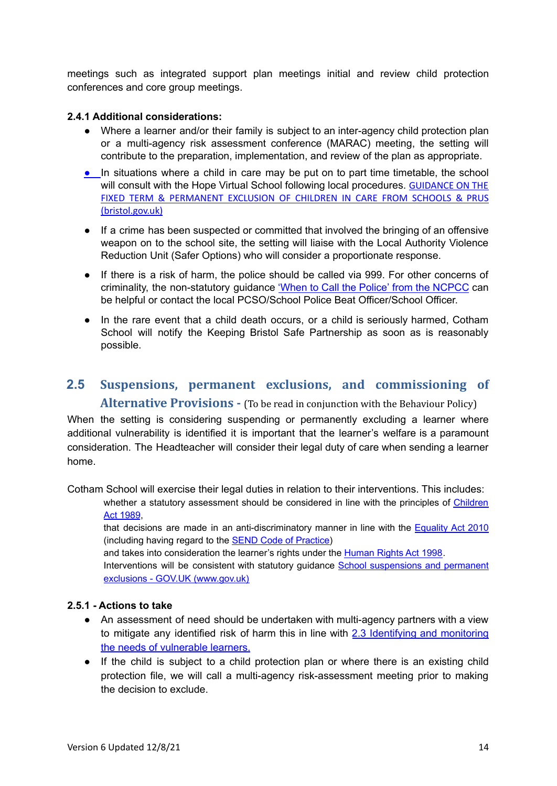meetings such as integrated support plan meetings initial and review child protection conferences and core group meetings.

#### **2.4.1 Additional considerations:**

- Where a learner and/or their family is subject to an inter-agency child protection plan or a multi-agency risk assessment conference (MARAC) meeting, the setting will contribute to the preparation, implementation, and review of the plan as appropriate.
- In situations where a child in care may be put on to part time timetable, the school will consult with the Hope Virtual School following local procedures. [GUIDANCE](https://www.bristol.gov.uk/documents/20182/289934/Exclusions+Process+Dec+2020.pdf/bd4f7017-047d-00dc-ccc2-3c9ceee84ff2) ON THE FIXED TERM & [PERMANENT](https://www.bristol.gov.uk/documents/20182/289934/Exclusions+Process+Dec+2020.pdf/bd4f7017-047d-00dc-ccc2-3c9ceee84ff2) EXCLUSION OF CHILDREN IN CARE FROM SCHOOLS & PRUS [\(bristol.gov.uk\)](https://www.bristol.gov.uk/documents/20182/289934/Exclusions+Process+Dec+2020.pdf/bd4f7017-047d-00dc-ccc2-3c9ceee84ff2)
- If a crime has been suspected or committed that involved the bringing of an offensive weapon on to the school site, the setting will liaise with the Local Authority Violence Reduction Unit (Safer Options) who will consider a proportionate response.
- If there is a risk of harm, the police should be called via 999. For other concerns of criminality, the non-statutory guidance 'When to Call the Police' from the [NCPCC](https://www.npcc.police.uk/documents/Children%20and%20Young%20people/When%20to%20call%20the%20police%20guidance%20for%20schools%20and%20colleges.pdf) can be helpful or contact the local PCSO/School Police Beat Officer/School Officer.
- In the rare event that a child death occurs, or a child is seriously harmed, Cotham School will notify the Keeping Bristol Safe Partnership as soon as is reasonably possible.

# **2.5 Suspensions, permanent exclusions, and commissioning of Alternative Provisions -** (To be read in conjunction with the Behaviour Policy)

<span id="page-13-0"></span>When the setting is considering suspending or permanently excluding a learner where additional vulnerability is identified it is important that the learner's welfare is a paramount consideration. The Headteacher will consider their legal duty of care when sending a learner home.

Cotham School will exercise their legal duties in relation to their interventions. This includes:

whether a statutory assessment should be considered in line with the principles of [Children](https://www.legislation.gov.uk/ukpga/1989/41/contents) Act [1989](https://www.legislation.gov.uk/ukpga/1989/41/contents),

that decisions are made in an anti-discriminatory manner in line with the [Equality](https://www.legislation.gov.uk/ukpga/2010/15/contents) Act 2010 (including having regard to the SEND Code of [Practice\)](https://www.gov.uk/government/publications/send-code-of-practice-0-to-25)

and takes into consideration the learner's rights under the [Human](https://www.legislation.gov.uk/ukpga/1998/42/contents) Rights Act 1998.

Interventions will be consistent with statutory guidance **School [suspensions](https://www.gov.uk/government/publications/school-exclusion) and permanent** exclusions - GOV.UK [\(www.gov.uk\)](https://www.gov.uk/government/publications/school-exclusion)

#### **2.5.1 - Actions to take**

- An assessment of need should be undertaken with multi-agency partners with a view to mitigate any identified risk of harm this in line with 2.3 Identifying and [monitoring](#page-12-0) the needs of [vulnerable](#page-12-0) learners.
- If the child is subject to a child protection plan or where there is an existing child protection file, we will call a multi-agency risk-assessment meeting prior to making the decision to exclude.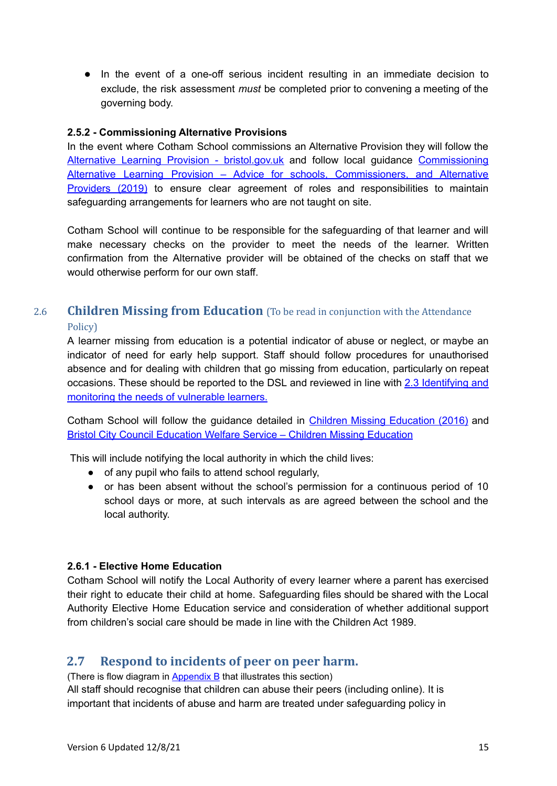● In the event of a one-off serious incident resulting in an immediate decision to exclude, the risk assessment *must* be completed prior to convening a meeting of the governing body.

#### **2.5.2 - Commissioning Alternative Provisions**

In the event where Cotham School commissions an Alternative Provision they will follow the Alternative Learning Provision - [bristol.gov.uk](https://www.bristol.gov.uk/schools-learning-early-years/alternative-learning-provision) and follow local guidance [Commissioning](https://www.bristol.gov.uk/documents/20182/3831000/Using+AP+in+Bristol+-+Advice+to+Schools+%26+Commissioners+-+September+2019.pdf/bc36da2d-8008-b63e-389a-e183f5079602) Alternative Learning Provision – Advice for schools, [Commissioners,](https://www.bristol.gov.uk/documents/20182/3831000/Using+AP+in+Bristol+-+Advice+to+Schools+%26+Commissioners+-+September+2019.pdf/bc36da2d-8008-b63e-389a-e183f5079602) and Alternative [Providers](https://www.bristol.gov.uk/documents/20182/3831000/Using+AP+in+Bristol+-+Advice+to+Schools+%26+Commissioners+-+September+2019.pdf/bc36da2d-8008-b63e-389a-e183f5079602) (2019) to ensure clear agreement of roles and responsibilities to maintain safeguarding arrangements for learners who are not taught on site.

Cotham School will continue to be responsible for the safeguarding of that learner and will make necessary checks on the provider to meet the needs of the learner. Written confirmation from the Alternative provider will be obtained of the checks on staff that we would otherwise perform for our own staff.

# 2.6 **Children Missing from Education** (To be read in conjunction with the Attendance

<span id="page-14-0"></span>Policy)

A learner missing from education is a potential indicator of abuse or neglect, or maybe an indicator of need for early help support. Staff should follow procedures for unauthorised absence and for dealing with children that go missing from education, particularly on repeat occasions. These should be reported to the DSL and reviewed in line with 2.3 [Identifying](#page-12-0) and [monitoring](#page-12-0) the needs of vulnerable learners.

Cotham School will follow the guidance detailed in Children Missing [Education](https://www.gov.uk/government/publications/children-missing-education) (2016) and Bristol City Council [Education](https://www.bristol.gov.uk/documents/20182/34960/CME+Guidance+for+schools/2dc4792d-7d3f-8b57-5aa8-3b305fda4cb8) Welfare Service – Children Missing Education

This will include notifying the local authority in which the child lives:

- of any pupil who fails to attend school regularly,
- or has been absent without the school's permission for a continuous period of 10 school days or more, at such intervals as are agreed between the school and the local authority.

#### **2.6.1 - Elective Home Education**

Cotham School will notify the Local Authority of every learner where a parent has exercised their right to educate their child at home. Safeguarding files should be shared with the Local Authority Elective Home Education service and consideration of whether additional support from children's social care should be made in line with the Children Act 1989.

#### <span id="page-14-1"></span>**2.7 Respond to incidents of peer on peer harm.**

(There is flow diagram in Appendix B that illustrates this section)

All staff should recognise that children can abuse their peers (including online). It is important that incidents of abuse and harm are treated under safeguarding policy in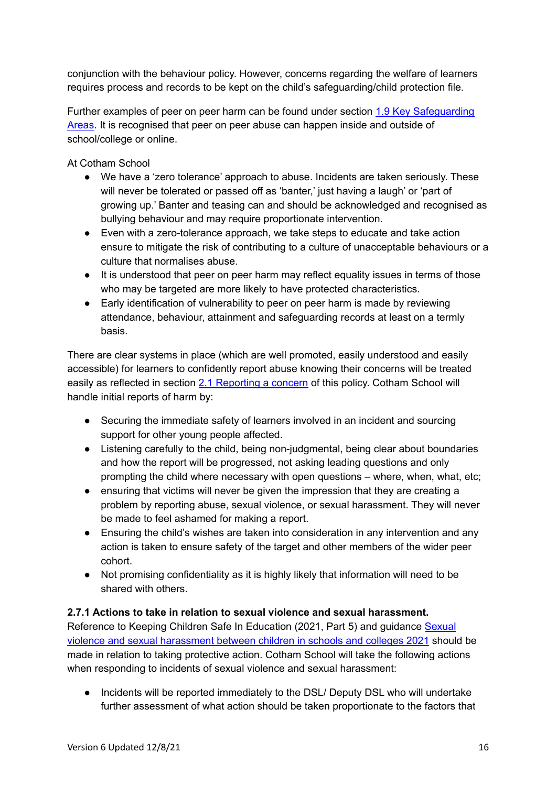conjunction with the behaviour policy. However, concerns regarding the welfare of learners requires process and records to be kept on the child's safeguarding/child protection file.

Further examples of peer on peer harm can be found under section 1.9 Key [Safeguarding](#page-10-0) [Areas.](#page-10-0) It is recognised that peer on peer abuse can happen inside and outside of school/college or online.

At Cotham School

- We have a 'zero tolerance' approach to abuse. Incidents are taken seriously. These will never be tolerated or passed off as 'banter,' just having a laugh' or 'part of growing up.' Banter and teasing can and should be acknowledged and recognised as bullying behaviour and may require proportionate intervention.
- Even with a zero-tolerance approach, we take steps to educate and take action ensure to mitigate the risk of contributing to a culture of unacceptable behaviours or a culture that normalises abuse.
- It is understood that peer on peer harm may reflect equality issues in terms of those who may be targeted are more likely to have protected characteristics.
- Early identification of vulnerability to peer on peer harm is made by reviewing attendance, behaviour, attainment and safeguarding records at least on a termly basis.

There are clear systems in place (which are well promoted, easily understood and easily accessible) for learners to confidently report abuse knowing their concerns will be treated easily as reflected in section 2.1 [Reporting](#page-11-0) a concern of this policy. Cotham School will handle initial reports of harm by:

- Securing the immediate safety of learners involved in an incident and sourcing support for other young people affected.
- Listening carefully to the child, being non-judgmental, being clear about boundaries and how the report will be progressed, not asking leading questions and only prompting the child where necessary with open questions – where, when, what, etc;
- ensuring that victims will never be given the impression that they are creating a problem by reporting abuse, sexual violence, or sexual harassment. They will never be made to feel ashamed for making a report.
- Ensuring the child's wishes are taken into consideration in any intervention and any action is taken to ensure safety of the target and other members of the wider peer cohort.
- Not promising confidentiality as it is highly likely that information will need to be shared with others.

#### **2.7.1 Actions to take in relation to sexual violence and sexual harassment.**

Reference to Keeping Children Safe In Education (2021, Part 5) and guidance [Sexual](https://www.gov.uk/government/publications/sexual-violence-and-sexual-harassment-between-children-in-schools-and-colleges) violence and sexual [harassment](https://www.gov.uk/government/publications/sexual-violence-and-sexual-harassment-between-children-in-schools-and-colleges) between children in schools and colleges 2021 should be made in relation to taking protective action. Cotham School will take the following actions when responding to incidents of sexual violence and sexual harassment:

● Incidents will be reported immediately to the DSL/ Deputy DSL who will undertake further assessment of what action should be taken proportionate to the factors that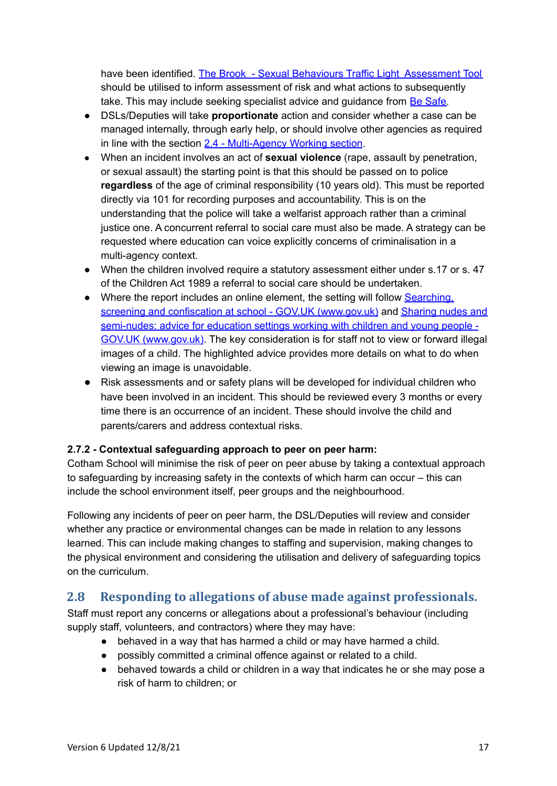have been identified. The Brook - Sexual Behaviours Traffic Light [Assessment](https://www.brook.org.uk/training/wider-professional-training/sexual-behaviours-traffic-light-tool/) Tool should be utilised to inform assessment of risk and what actions to subsequently take. This may include seeking specialist advice and guidance from Be [Safe.](https://cchp.nhs.uk/cchp/explore-cchp/be-safe)

- DSLs/Deputies will take **proportionate** action and consider whether a case can be managed internally, through early help, or should involve other agencies as required in line with the section 2.4 - [Multi-Agency](#page-12-1) Working section.
- When an incident involves an act of **sexual violence** (rape, assault by penetration, or sexual assault) the starting point is that this should be passed on to police **regardless** of the age of criminal responsibility (10 years old). This must be reported directly via 101 for recording purposes and accountability. This is on the understanding that the police will take a welfarist approach rather than a criminal justice one. A concurrent referral to social care must also be made. A strategy can be requested where education can voice explicitly concerns of criminalisation in a multi-agency context.
- When the children involved require a statutory assessment either under s.17 or s. 47 of the Children Act 1989 a referral to social care should be undertaken.
- Where the report includes an online element, the setting will follow [Searching,](https://www.gov.uk/government/publications/searching-screening-and-confiscation) screening and confiscation at school - GOV.UK [\(www.gov.uk\)](https://www.gov.uk/government/publications/searching-screening-and-confiscation) and [Sharing](https://www.gov.uk/government/publications/sharing-nudes-and-semi-nudes-advice-for-education-settings-working-with-children-and-young-people) nudes and [semi-nudes:](https://www.gov.uk/government/publications/sharing-nudes-and-semi-nudes-advice-for-education-settings-working-with-children-and-young-people) advice for education settings working with children and young people -GOV.UK [\(www.gov.uk\).](https://www.gov.uk/government/publications/sharing-nudes-and-semi-nudes-advice-for-education-settings-working-with-children-and-young-people) The key consideration is for staff not to view or forward illegal images of a child. The highlighted advice provides more details on what to do when viewing an image is unavoidable.
- Risk assessments and or safety plans will be developed for individual children who have been involved in an incident. This should be reviewed every 3 months or every time there is an occurrence of an incident. These should involve the child and parents/carers and address contextual risks.

#### **2.7.2 - Contextual safeguarding approach to peer on peer harm:**

Cotham School will minimise the risk of peer on peer abuse by taking a contextual approach to safeguarding by increasing safety in the contexts of which harm can occur – this can include the school environment itself, peer groups and the neighbourhood.

Following any incidents of peer on peer harm, the DSL/Deputies will review and consider whether any practice or environmental changes can be made in relation to any lessons learned. This can include making changes to staffing and supervision, making changes to the physical environment and considering the utilisation and delivery of safeguarding topics on the curriculum.

# <span id="page-16-0"></span>**2.8 Responding to allegations of abuse made against professionals.**

Staff must report any concerns or allegations about a professional's behaviour (including supply staff, volunteers, and contractors) where they may have:

- behaved in a way that has harmed a child or may have harmed a child.
- possibly committed a criminal offence against or related to a child.
- behaved towards a child or children in a way that indicates he or she may pose a risk of harm to children; or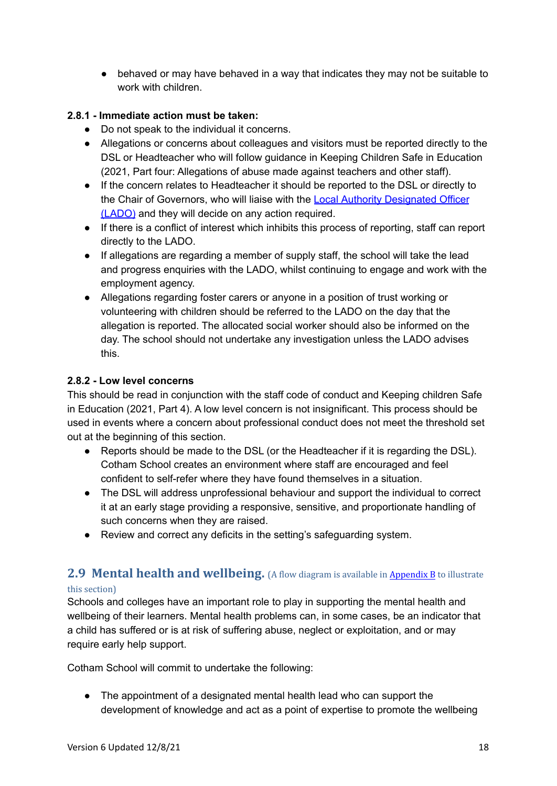• behaved or may have behaved in a way that indicates they may not be suitable to work with children

#### **2.8.1 - Immediate action must be taken:**

- Do not speak to the individual it concerns.
- Allegations or concerns about colleagues and visitors must be reported directly to the DSL or Headteacher who will follow guidance in Keeping Children Safe in Education (2021, Part four: Allegations of abuse made against teachers and other staff).
- If the concern relates to Headteacher it should be reported to the DSL or directly to the Chair of Governors, who will liaise with the Local Authority [Designated](#page-23-0) Officer [\(LADO\)](#page-23-0) and they will decide on any action required.
- If there is a conflict of interest which inhibits this process of reporting, staff can report directly to the LADO.
- If allegations are regarding a member of supply staff, the school will take the lead and progress enquiries with the LADO, whilst continuing to engage and work with the employment agency.
- Allegations regarding foster carers or anyone in a position of trust working or volunteering with children should be referred to the LADO on the day that the allegation is reported. The allocated social worker should also be informed on the day. The school should not undertake any investigation unless the LADO advises this.

#### **2.8.2 - Low level concerns**

This should be read in conjunction with the staff code of conduct and Keeping children Safe in Education (2021, Part 4). A low level concern is not insignificant. This process should be used in events where a concern about professional conduct does not meet the threshold set out at the beginning of this section.

- Reports should be made to the DSL (or the Headteacher if it is regarding the DSL). Cotham School creates an environment where staff are encouraged and feel confident to self-refer where they have found themselves in a situation.
- The DSL will address unprofessional behaviour and support the individual to correct it at an early stage providing a responsive, sensitive, and proportionate handling of such concerns when they are raised.
- Review and correct any deficits in the setting's safeguarding system.

#### **2.9 Mental health and wellbeing.** (A flow diagram is available in Appendix B to illustrate this section)

<span id="page-17-0"></span>Schools and colleges have an important role to play in supporting the mental health and wellbeing of their learners. Mental health problems can, in some cases, be an indicator that a child has suffered or is at risk of suffering abuse, neglect or exploitation, and or may require early help support.

Cotham School will commit to undertake the following:

● The appointment of a designated mental health lead who can support the development of knowledge and act as a point of expertise to promote the wellbeing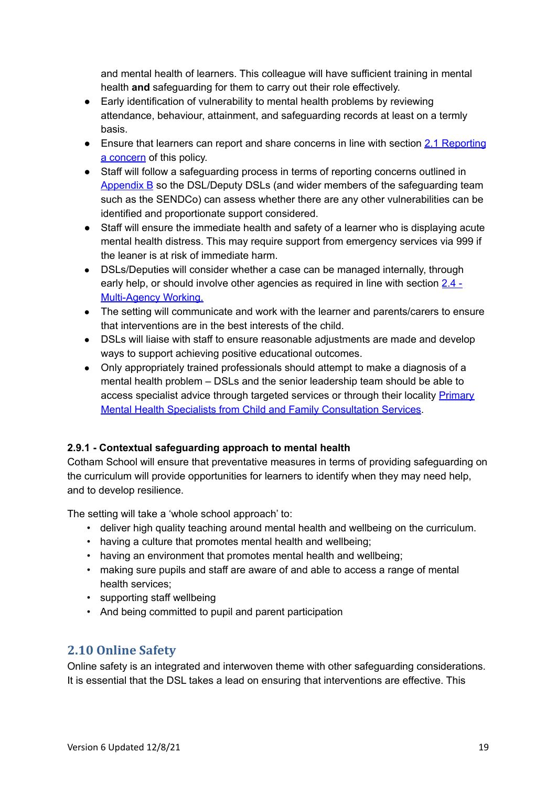and mental health of learners. This colleague will have sufficient training in mental health **and** safeguarding for them to carry out their role effectively.

- Early identification of vulnerability to mental health problems by reviewing attendance, behaviour, attainment, and safeguarding records at least on a termly basis.
- Ensure that learners can report and share concerns in line with section 2.1 [Reporting](#page-11-0) a [concern](#page-11-0) of this policy.
- Staff will follow a safeguarding process in terms of reporting concerns outlined in Appendix B so the DSL/Deputy DSLs (and wider members of the safeguarding team such as the SENDCo) can assess whether there are any other vulnerabilities can be identified and proportionate support considered.
- Staff will ensure the immediate health and safety of a learner who is displaying acute mental health distress. This may require support from emergency services via 999 if the leaner is at risk of immediate harm.
- DSLs/Deputies will consider whether a case can be managed internally, through early help, or should involve other agencies as required in line with section [2.4](#page-12-1) - [Multi-Agency](#page-12-1) Working.
- The setting will communicate and work with the learner and parents/carers to ensure that interventions are in the best interests of the child.
- DSLs will liaise with staff to ensure reasonable adjustments are made and develop ways to support achieving positive educational outcomes.
- Only appropriately trained professionals should attempt to make a diagnosis of a mental health problem – DSLs and the senior leadership team should be able to access specialist advice through targeted services or through their locality [Primary](https://cchp.nhs.uk/cchp/explore-cchp/child-family-consultation-services-camhs/primary-mental-health-specialists) Mental Health [Specialists](https://cchp.nhs.uk/cchp/explore-cchp/child-family-consultation-services-camhs/primary-mental-health-specialists) from Child and Family Consultation Services.

#### **2.9.1 - Contextual safeguarding approach to mental health**

Cotham School will ensure that preventative measures in terms of providing safeguarding on the curriculum will provide opportunities for learners to identify when they may need help, and to develop resilience.

The setting will take a 'whole school approach' to:

- deliver high quality teaching around mental health and wellbeing on the curriculum.
- having a culture that promotes mental health and wellbeing;
- having an environment that promotes mental health and wellbeing;
- making sure pupils and staff are aware of and able to access a range of mental health services;
- supporting staff wellbeing
- And being committed to pupil and parent participation

# <span id="page-18-0"></span>**2.10 Online Safety**

Online safety is an integrated and interwoven theme with other safeguarding considerations. It is essential that the DSL takes a lead on ensuring that interventions are effective. This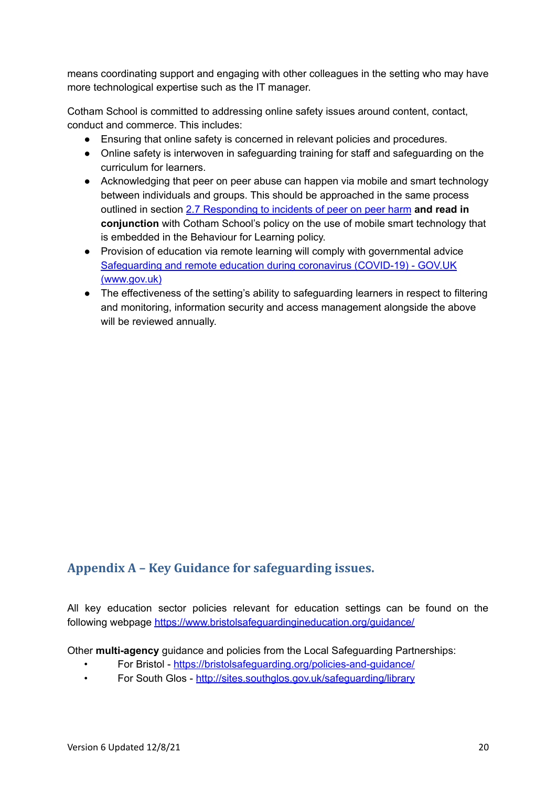means coordinating support and engaging with other colleagues in the setting who may have more technological expertise such as the IT manager.

Cotham School is committed to addressing online safety issues around content, contact, conduct and commerce. This includes:

- Ensuring that online safety is concerned in relevant policies and procedures.
- Online safety is interwoven in safeguarding training for staff and safeguarding on the curriculum for learners.
- Acknowledging that peer on peer abuse can happen via mobile and smart technology between individuals and groups. This should be approached in the same process outlined in section 2.7 [Responding](#page-14-1) to incidents of peer on peer harm **and read in conjunction** with Cotham School's policy on the use of mobile smart technology that is embedded in the Behaviour for Learning policy.
- Provision of education via remote learning will comply with governmental advice [Safeguarding](https://www.gov.uk/guidance/safeguarding-and-remote-education-during-coronavirus-covid-19) and remote education during coronavirus (COVID-19) - GOV.UK [\(www.gov.uk\)](https://www.gov.uk/guidance/safeguarding-and-remote-education-during-coronavirus-covid-19)
- <span id="page-19-0"></span>• The effectiveness of the setting's ability to safeguarding learners in respect to filtering and monitoring, information security and access management alongside the above will be reviewed annually.

# **Appendix A – Key Guidance for safeguarding issues.**

All key education sector policies relevant for education settings can be found on the following webpage <https://www.bristolsafeguardingineducation.org/guidance/>

Other **multi-agency** guidance and policies from the Local Safeguarding Partnerships:

- For Bristol <https://bristolsafeguarding.org/policies-and-guidance/>
- For South Glos <http://sites.southglos.gov.uk/safeguarding/library>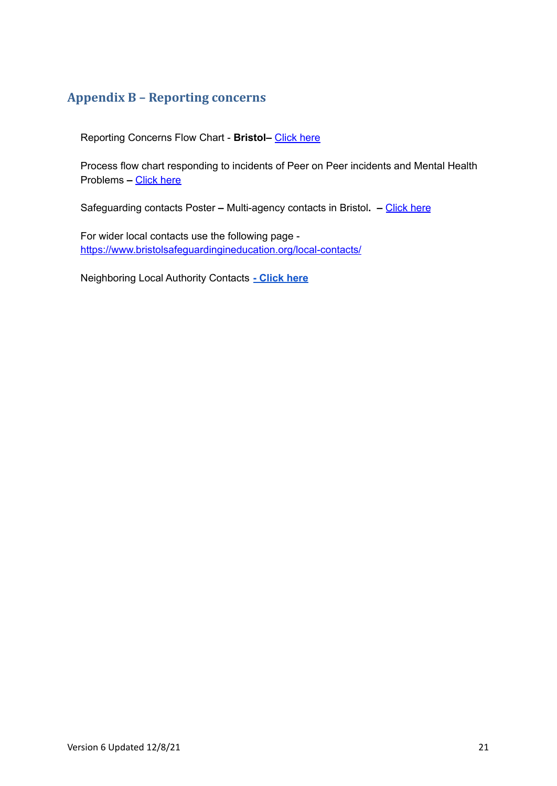# <span id="page-20-0"></span>**Appendix B – Reporting concerns**

Reporting Concerns Flow Chart - Bristol- Click here

Process flow chart responding to incidents of Peer on Peer incidents and Mental Health Problems **–** Click here

Safeguarding contacts Poster **–** Multi-agency contacts in Bristol**. –** Click here

For wider local contacts use the following page <https://www.bristolsafeguardingineducation.org/local-contacts/>

Neighboring Local Authority Contacts **- [Click](#page-25-0) here**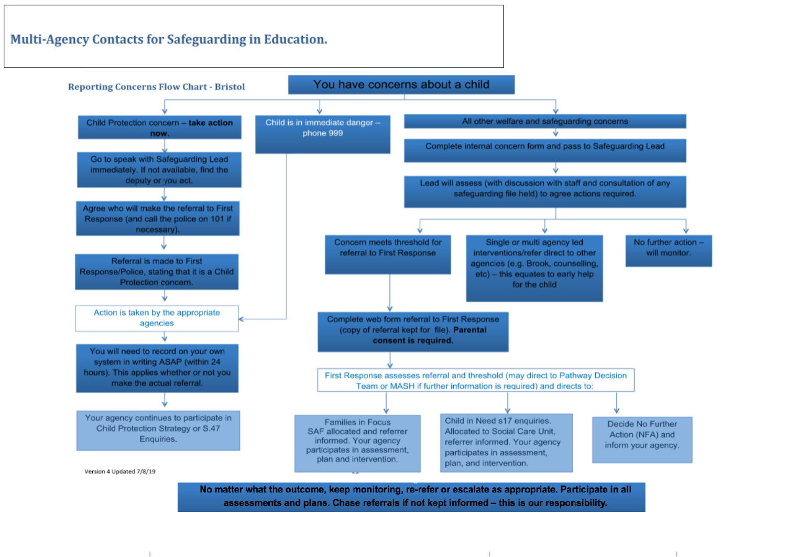

assessments and plans. Chase referrals if not kept informed - this is our responsibility.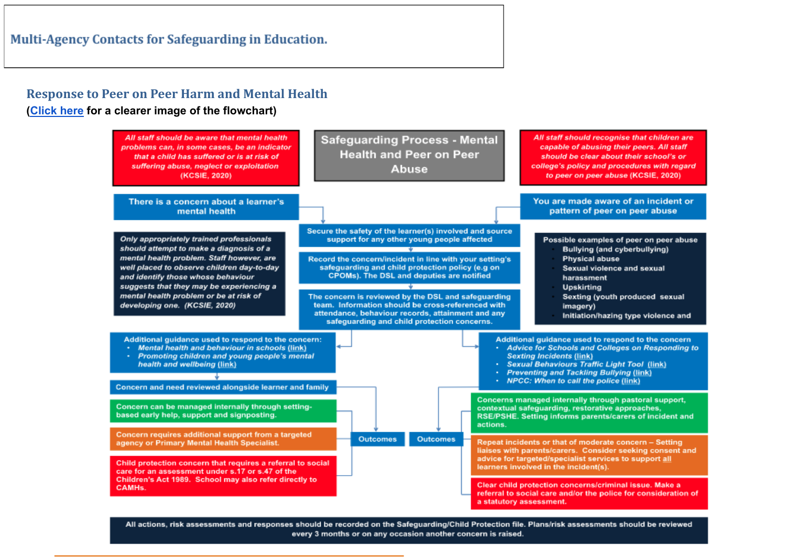# **Response to Peer on Peer Harm and Mental Health**

#### **[\(Click here](https://drive.google.com/file/d/1RF5P0RggjTPeUO-z7psaXNNRYD1V4efD/view?usp=sharing) for a clearer image of the flowchart)**



All actions, risk assessments and responses should be recorded on the Safeguarding/Child Protection file. Plans/risk assessments should be reviewed every 3 months or on any occasion another concern is raised.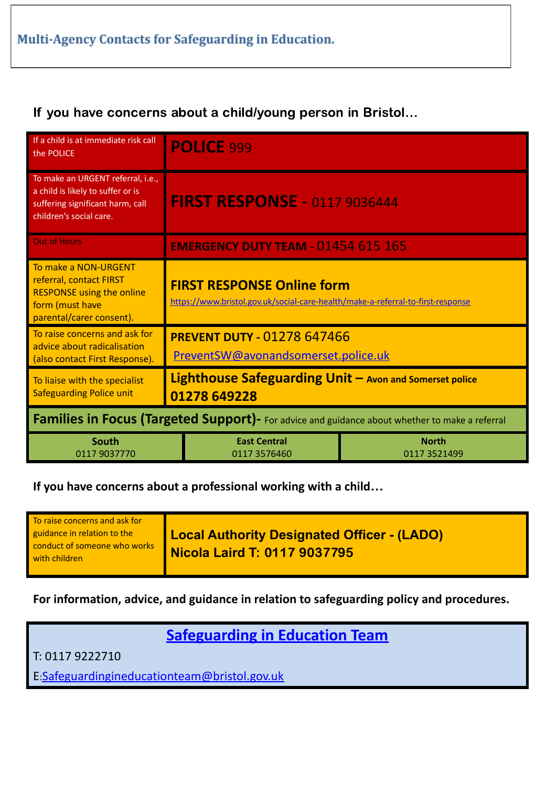# If you have concerns about a child/young person in Bristol…

| If a child is at immediate risk call<br>the POLICE                                                                                    | <b>POLICE 999</b>                                                                                                    |  |  |
|---------------------------------------------------------------------------------------------------------------------------------------|----------------------------------------------------------------------------------------------------------------------|--|--|
| To make an URGENT referral, i.e.,<br>a child is likely to suffer or is<br>suffering significant harm, call<br>children's social care. | <b>FIRST RESPONSE - 0117 9036444</b>                                                                                 |  |  |
| <b>Out of Hours</b>                                                                                                                   | <b>EMERGENCY DUTY TEAM - 01454 615 165</b>                                                                           |  |  |
| To make a NON-URGENT<br>referral, contact FIRST<br><b>RESPONSE using the online</b><br>form (must have<br>parental/carer consent).    | <b>FIRST RESPONSE Online form</b><br>https://www.bristol.gov.uk/social-care-health/make-a-referral-to-first-response |  |  |
| To raise concerns and ask for<br>advice about radicalisation<br>(also contact First Response).                                        | <b>PREVENT DUTY - 01278 647466</b><br>PreventSW@avonandsomerset.police.uk                                            |  |  |
| To liaise with the specialist<br><b>Safeguarding Police unit</b>                                                                      | <b>Lighthouse Safeguarding Unit <math>-</math> Avon and Somerset police</b><br>01278 649228                          |  |  |
| <b>Families in Focus (Targeted Support)-</b> For advice and guidance about whether to make a referral                                 |                                                                                                                      |  |  |
| <b>South</b><br>0117 9037770                                                                                                          | <b>North</b><br><b>East Central</b><br>0117 3576460<br>0117 3521499                                                  |  |  |

# **If you have concerns about a professional working with a child…**

| To raise concerns and ask for<br>guidance in relation to the<br>conduct of someone who works<br>with children | <b>Local Authority Designated Officer - (LADO)</b><br>Nicola Laird T: 0117 9037795 |
|---------------------------------------------------------------------------------------------------------------|------------------------------------------------------------------------------------|
|---------------------------------------------------------------------------------------------------------------|------------------------------------------------------------------------------------|

# **For information, advice, and guidance in relation to safeguarding policy and procedures.**

<span id="page-23-0"></span>**[Safeguarding in Education Team](https://drive.google.com/file/d/11A0Ik4bRLU8OHIv3eiqVnMl4r0EUaMpJ/view?usp=sharing)**

T: 0117 9222710

E:[Safeguardingineducationteam@bristol.gov.uk](mailto:Safeguardingineducationteam@bristol.gov.uk)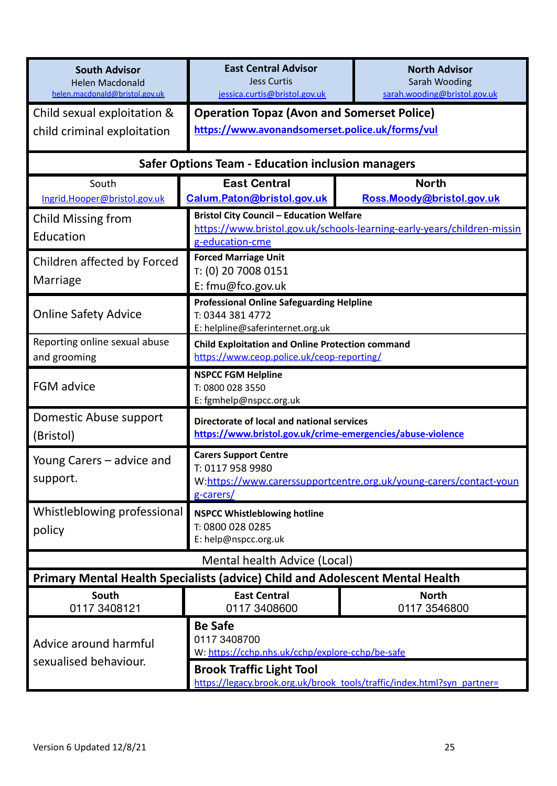| <b>South Advisor</b><br><b>Helen Macdonald</b><br>helen.macdonald@bristol.gov.uk | <b>East Central Advisor</b><br><b>Jess Curtis</b><br>jessica.curtis@bristol.gov.uk                                                  | <b>North Advisor</b><br>Sarah Wooding<br>sarah.wooding@bristol.gov.uk   |  |
|----------------------------------------------------------------------------------|-------------------------------------------------------------------------------------------------------------------------------------|-------------------------------------------------------------------------|--|
| Child sexual exploitation &<br>child criminal exploitation                       | <b>Operation Topaz (Avon and Somerset Police)</b><br>https://www.avonandsomerset.police.uk/forms/vul                                |                                                                         |  |
|                                                                                  | <b>Safer Options Team - Education inclusion managers</b>                                                                            |                                                                         |  |
| South<br>Ingrid.Hooper@bristol.gov.uk                                            | <b>East Central</b><br>Calum.Paton@bristol.gov.uk                                                                                   | <b>North</b><br>Ross.Moody@bristol.gov.uk                               |  |
| <b>Child Missing from</b><br>Education                                           | <b>Bristol City Council - Education Welfare</b><br>g-education-cme                                                                  | https://www.bristol.gov.uk/schools-learning-early-years/children-missin |  |
| Children affected by Forced<br>Marriage                                          | <b>Forced Marriage Unit</b><br>T: (0) 20 7008 0151<br>E: fmu@fco.gov.uk                                                             |                                                                         |  |
| <b>Online Safety Advice</b>                                                      | <b>Professional Online Safeguarding Helpline</b><br>T: 0344 381 4772<br>E: helpline@saferinternet.org.uk                            |                                                                         |  |
| Reporting online sexual abuse<br>and grooming                                    | <b>Child Exploitation and Online Protection command</b><br>https://www.ceop.police.uk/ceop-reporting/                               |                                                                         |  |
| <b>FGM</b> advice                                                                | <b>NSPCC FGM Helpline</b><br>T: 0800 028 3550<br>E: fgmhelp@nspcc.org.uk                                                            |                                                                         |  |
| Domestic Abuse support<br>(Bristol)                                              | Directorate of local and national services<br>https://www.bristol.gov.uk/crime-emergencies/abuse-violence                           |                                                                         |  |
| Young Carers - advice and<br>support.                                            | <b>Carers Support Centre</b><br>T: 0117 958 9980<br>W:https://www.carerssupportcentre.org.uk/young-carers/contact-youn<br>g-carers/ |                                                                         |  |
| Whistleblowing professional<br>policy                                            | <b>NSPCC Whistleblowing hotline</b><br>T: 0800 028 0285<br>E: help@nspcc.org.uk                                                     |                                                                         |  |
|                                                                                  | Mental health Advice (Local)                                                                                                        |                                                                         |  |
| Primary Mental Health Specialists (advice) Child and Adolescent Mental Health    |                                                                                                                                     |                                                                         |  |
| South<br>0117 3408121                                                            | <b>East Central</b><br>0117 3408600                                                                                                 | <b>North</b><br>0117 3546800                                            |  |
| Advice around harmful<br>sexualised behaviour.                                   | <b>Be Safe</b><br>0117 3408700<br>W: https://cchp.nhs.uk/cchp/explore-cchp/be-safe                                                  |                                                                         |  |
|                                                                                  | <b>Brook Traffic Light Tool</b><br>https://legacy.brook.org.uk/brook_tools/traffic/index.html?syn_partner=                          |                                                                         |  |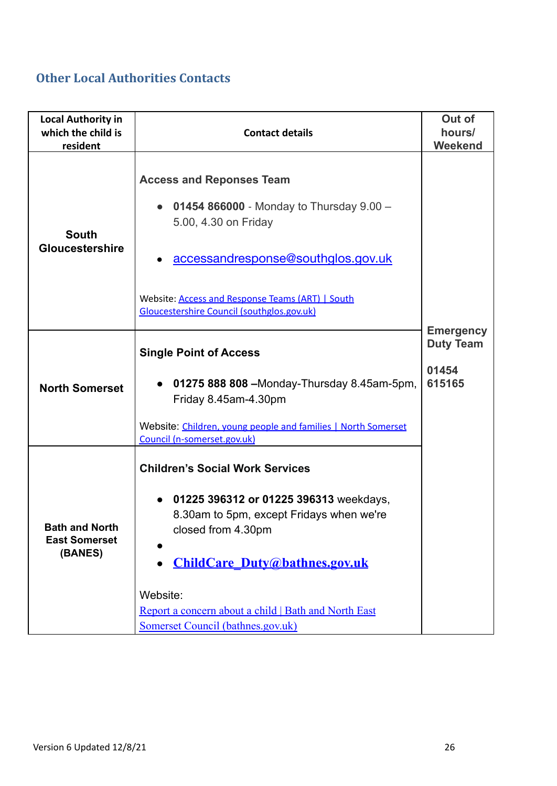# <span id="page-25-0"></span>**Other Local Authorities Contacts**

| <b>Local Authority in</b><br>which the child is<br>resident | <b>Contact details</b>                                                                                                                                                                                                                                                                              | Out of<br>hours/<br><b>Weekend</b>                      |
|-------------------------------------------------------------|-----------------------------------------------------------------------------------------------------------------------------------------------------------------------------------------------------------------------------------------------------------------------------------------------------|---------------------------------------------------------|
| <b>South</b><br><b>Gloucestershire</b>                      | <b>Access and Reponses Team</b><br>01454 866000 - Monday to Thursday 9.00 -<br>5.00, 4.30 on Friday<br>accessandresponse@southglos.gov.uk<br>Website: Access and Response Teams (ART)   South<br><b>Gloucestershire Council (southglos.gov.uk)</b>                                                  |                                                         |
| <b>North Somerset</b>                                       | <b>Single Point of Access</b><br>01275 888 808 - Monday-Thursday 8.45am-5pm,<br>Friday 8.45am-4.30pm<br>Website: Children, young people and families   North Somerset<br>Council (n-somerset.gov.uk)                                                                                                | <b>Emergency</b><br><b>Duty Team</b><br>01454<br>615165 |
| <b>Bath and North</b><br><b>East Somerset</b><br>(BANES)    | <b>Children's Social Work Services</b><br>01225 396312 or 01225 396313 weekdays,<br>8.30am to 5pm, except Fridays when we're<br>closed from 4.30pm<br><b>ChildCare Duty@bathnes.gov.uk</b><br>Website:<br>Report a concern about a child   Bath and North East<br>Somerset Council (bathnes.gov.uk) |                                                         |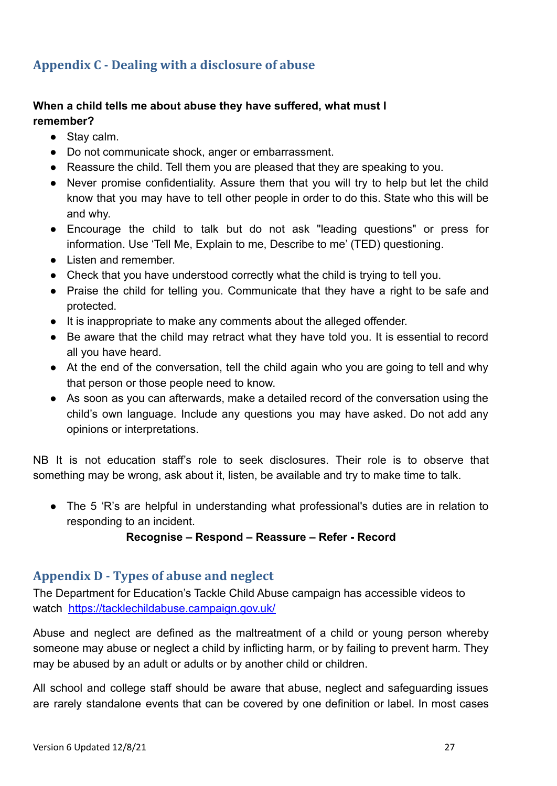# <span id="page-26-0"></span>**Appendix C - Dealing with a disclosure of abuse**

### <span id="page-26-1"></span>**When a child tells me about abuse they have suffered, what must I remember?**

- Stay calm.
- Do not communicate shock, anger or embarrassment.
- Reassure the child. Tell them you are pleased that they are speaking to you.
- Never promise confidentiality. Assure them that you will try to help but let the child know that you may have to tell other people in order to do this. State who this will be and why.
- Encourage the child to talk but do not ask "leading questions" or press for information. Use 'Tell Me, Explain to me, Describe to me' (TED) questioning.
- Listen and remember.
- Check that you have understood correctly what the child is trying to tell you.
- Praise the child for telling you. Communicate that they have a right to be safe and protected.
- It is inappropriate to make any comments about the alleged offender.
- Be aware that the child may retract what they have told you. It is essential to record all you have heard.
- At the end of the conversation, tell the child again who you are going to tell and why that person or those people need to know.
- As soon as you can afterwards, make a detailed record of the conversation using the child's own language. Include any questions you may have asked. Do not add any opinions or interpretations.

NB It is not education staff's role to seek disclosures. Their role is to observe that something may be wrong, ask about it, listen, be available and try to make time to talk.

● The 5 'R's are helpful in understanding what professional's duties are in relation to responding to an incident.

#### **Recognise – Respond – Reassure – Refer - Record**

#### **Appendix D - Types of abuse and neglect**

The Department for Education's Tackle Child Abuse campaign has accessible videos to watch <https://tacklechildabuse.campaign.gov.uk/>

Abuse and neglect are defined as the maltreatment of a child or young person whereby someone may abuse or neglect a child by inflicting harm, or by failing to prevent harm. They may be abused by an adult or adults or by another child or children.

All school and college staff should be aware that abuse, neglect and safeguarding issues are rarely standalone events that can be covered by one definition or label. In most cases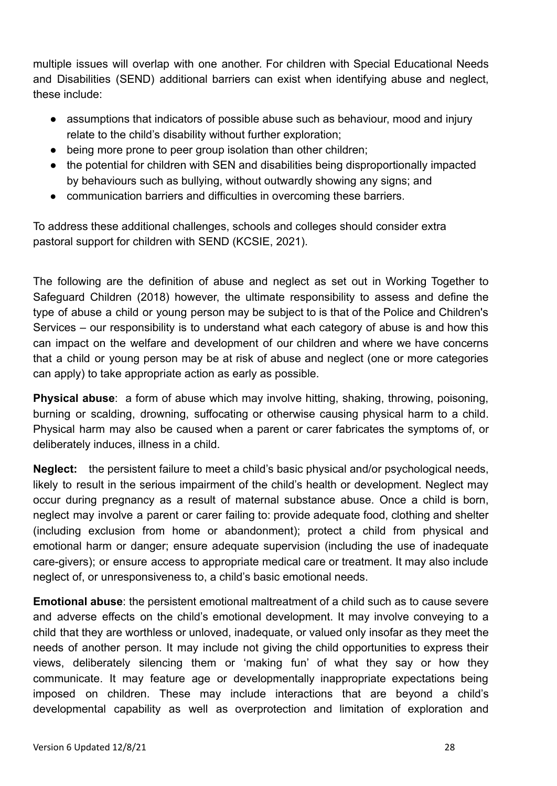multiple issues will overlap with one another. For children with Special Educational Needs and Disabilities (SEND) additional barriers can exist when identifying abuse and neglect, these include:

- assumptions that indicators of possible abuse such as behaviour, mood and injury relate to the child's disability without further exploration;
- being more prone to peer group isolation than other children;
- the potential for children with SEN and disabilities being disproportionally impacted by behaviours such as bullying, without outwardly showing any signs; and
- communication barriers and difficulties in overcoming these barriers.

To address these additional challenges, schools and colleges should consider extra pastoral support for children with SEND (KCSIE, 2021).

The following are the definition of abuse and neglect as set out in Working Together to Safeguard Children (2018) however, the ultimate responsibility to assess and define the type of abuse a child or young person may be subject to is that of the Police and Children's Services – our responsibility is to understand what each category of abuse is and how this can impact on the welfare and development of our children and where we have concerns that a child or young person may be at risk of abuse and neglect (one or more categories can apply) to take appropriate action as early as possible.

**Physical abuse**: a form of abuse which may involve hitting, shaking, throwing, poisoning, burning or scalding, drowning, suffocating or otherwise causing physical harm to a child. Physical harm may also be caused when a parent or carer fabricates the symptoms of, or deliberately induces, illness in a child.

**Neglect:** the persistent failure to meet a child's basic physical and/or psychological needs, likely to result in the serious impairment of the child's health or development. Neglect may occur during pregnancy as a result of maternal substance abuse. Once a child is born, neglect may involve a parent or carer failing to: provide adequate food, clothing and shelter (including exclusion from home or abandonment); protect a child from physical and emotional harm or danger; ensure adequate supervision (including the use of inadequate care-givers); or ensure access to appropriate medical care or treatment. It may also include neglect of, or unresponsiveness to, a child's basic emotional needs.

**Emotional abuse**: the persistent emotional maltreatment of a child such as to cause severe and adverse effects on the child's emotional development. It may involve conveying to a child that they are worthless or unloved, inadequate, or valued only insofar as they meet the needs of another person. It may include not giving the child opportunities to express their views, deliberately silencing them or 'making fun' of what they say or how they communicate. It may feature age or developmentally inappropriate expectations being imposed on children. These may include interactions that are beyond a child's developmental capability as well as overprotection and limitation of exploration and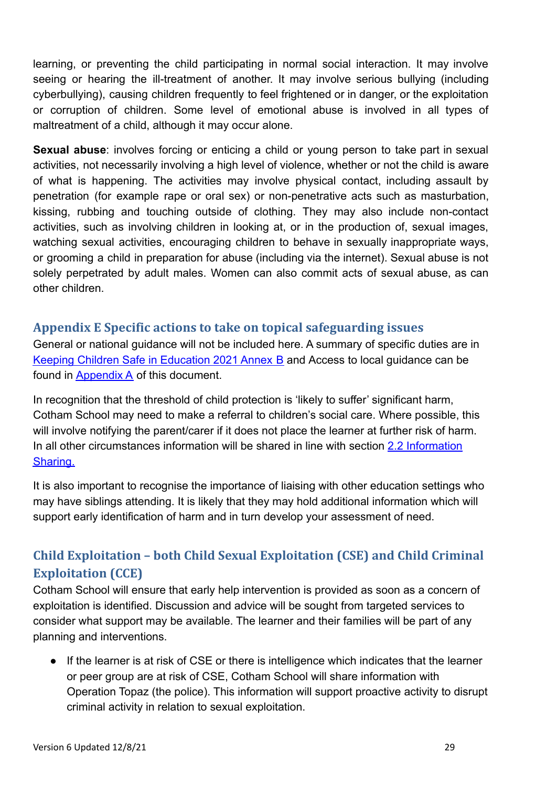learning, or preventing the child participating in normal social interaction. It may involve seeing or hearing the ill-treatment of another. It may involve serious bullying (including cyberbullying), causing children frequently to feel frightened or in danger, or the exploitation or corruption of children. Some level of emotional abuse is involved in all types of maltreatment of a child, although it may occur alone.

**Sexual abuse**: involves forcing or enticing a child or young person to take part in sexual activities, not necessarily involving a high level of violence, whether or not the child is aware of what is happening. The activities may involve physical contact, including assault by penetration (for example rape or oral sex) or non-penetrative acts such as masturbation, kissing, rubbing and touching outside of clothing. They may also include non-contact activities, such as involving children in looking at, or in the production of, sexual images, watching sexual activities, encouraging children to behave in sexually inappropriate ways, or grooming a child in preparation for abuse (including via the internet). Sexual abuse is not solely perpetrated by adult males. Women can also commit acts of sexual abuse, as can other children.

# <span id="page-28-0"></span>**Appendix E Specific actions to take on topical safeguarding issues**

General or national guidance will not be included here. A summary of specific duties are in [Keeping Children Safe in Education 2021 Annex](https://www.gov.uk/government/publications/keeping-children-safe-in-education--2) B and Access to local guidance can be found in  $\Delta$ ppendix  $\Delta$  of this document.

In recognition that the threshold of child protection is 'likely to suffer' significant harm, Cotham School may need to make a referral to children's social care. Where possible, this will involve notifying the parent/carer if it does not place the learner at further risk of harm. In all other circumstances information will be shared in line with section [2.2 Information](#page-11-1) [Sharing.](#page-11-1)

It is also important to recognise the importance of liaising with other education settings who may have siblings attending. It is likely that they may hold additional information which will support early identification of harm and in turn develop your assessment of need.

# <span id="page-28-1"></span>**Child Exploitation – both Child Sexual Exploitation (CSE) and Child Criminal Exploitation (CCE)**

Cotham School will ensure that early help intervention is provided as soon as a concern of exploitation is identified. Discussion and advice will be sought from targeted services to consider what support may be available. The learner and their families will be part of any planning and interventions.

● If the learner is at risk of CSE or there is intelligence which indicates that the learner or peer group are at risk of CSE, Cotham School will share information with Operation Topaz (the police). This information will support proactive activity to disrupt criminal activity in relation to sexual exploitation.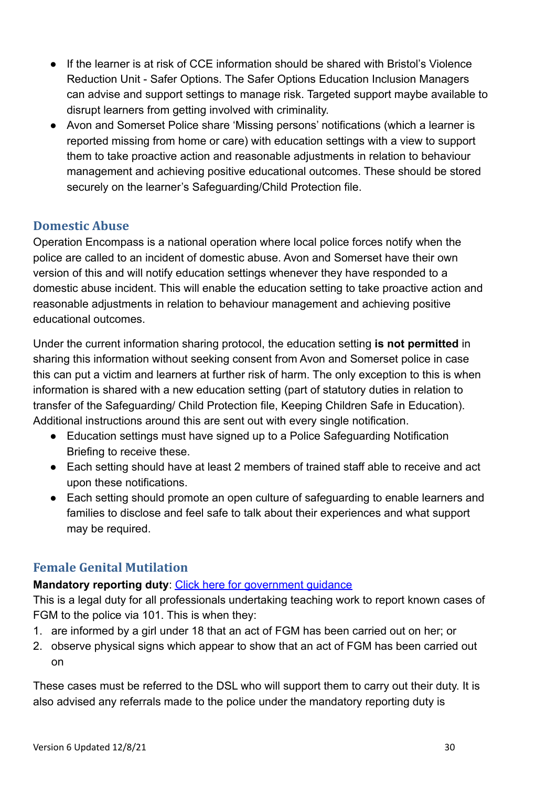- If the learner is at risk of CCE information should be shared with Bristol's Violence Reduction Unit - Safer Options. The Safer Options Education Inclusion Managers can advise and support settings to manage risk. Targeted support maybe available to disrupt learners from getting involved with criminality.
- Avon and Somerset Police share 'Missing persons' notifications (which a learner is reported missing from home or care) with education settings with a view to support them to take proactive action and reasonable adjustments in relation to behaviour management and achieving positive educational outcomes. These should be stored securely on the learner's Safeguarding/Child Protection file.

# <span id="page-29-0"></span>**Domestic Abuse**

Operation Encompass is a national operation where local police forces notify when the police are called to an incident of domestic abuse. Avon and Somerset have their own version of this and will notify education settings whenever they have responded to a domestic abuse incident. This will enable the education setting to take proactive action and reasonable adjustments in relation to behaviour management and achieving positive educational outcomes.

Under the current information sharing protocol, the education setting **is not permitted** in sharing this information without seeking consent from Avon and Somerset police in case this can put a victim and learners at further risk of harm. The only exception to this is when information is shared with a new education setting (part of statutory duties in relation to transfer of the Safeguarding/ Child Protection file, Keeping Children Safe in Education). Additional instructions around this are sent out with every single notification.

- Education settings must have signed up to a Police Safeguarding Notification Briefing to receive these.
- Each setting should have at least 2 members of trained staff able to receive and act upon these notifications.
- **●** Each setting should promote an open culture of safeguarding to enable learners and families to disclose and feel safe to talk about their experiences and what support may be required.

# **Female Genital Mutilation**

#### **Mandatory reporting duty**: [Click here for government](https://assets.publishing.service.gov.uk/government/uploads/system/uploads/attachment_data/file/573782/FGM_Mandatory_Reporting_-_procedural_information_nov16_FINAL.pdf) guidance

This is a legal duty for all professionals undertaking teaching work to report known cases of FGM to the police via 101. This is when they:

- 1. are informed by a girl under 18 that an act of FGM has been carried out on her; or
- 2. observe physical signs which appear to show that an act of FGM has been carried out on

These cases must be referred to the DSL who will support them to carry out their duty. It is also advised any referrals made to the police under the mandatory reporting duty is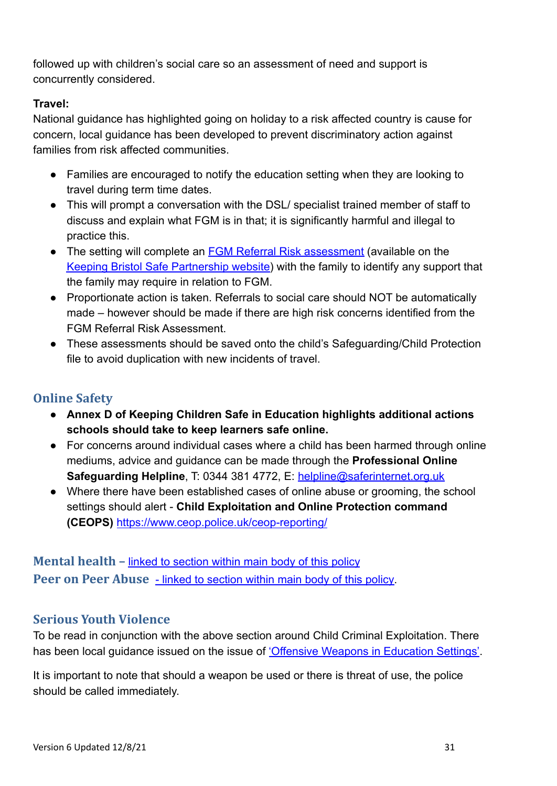followed up with children's social care so an assessment of need and support is concurrently considered.

### **Travel:**

National guidance has highlighted going on holiday to a risk affected country is cause for concern, local guidance has been developed to prevent discriminatory action against families from risk affected communities.

- Families are encouraged to notify the education setting when they are looking to travel during term time dates.
- This will prompt a conversation with the DSL/ specialist trained member of staff to discuss and explain what FGM is in that; it is significantly harmful and illegal to practice this.
- The setting will complete an [FGM Referral Risk assessment](https://bristolsafeguarding.org/media/27269/fgm-referral-risk-assessment-2018.pdf) (available on the [Keeping Bristol Safe Partnership website\)](https://bristolsafeguarding.org/policies-and-guidance/honour-based-violence/) with the family to identify any support that the family may require in relation to FGM.
- Proportionate action is taken. Referrals to social care should NOT be automatically made – however should be made if there are high risk concerns identified from the FGM Referral Risk Assessment.
- These assessments should be saved onto the child's Safeguarding/Child Protection file to avoid duplication with new incidents of travel.

# **Online Safety**

- **● Annex D of Keeping Children Safe in Education highlights additional actions schools should take to keep learners safe online.**
- For concerns around individual cases where a child has been harmed through online mediums, advice and guidance can be made through the **Professional Online Safeguarding Helpline**, T: 0344 381 4772, E: [helpline@saferinternet.org.uk](mailto:helpline@saferinternet.org.uk)
- Where there have been established cases of online abuse or grooming, the school settings should alert - **Child Exploitation and Online Protection command (CEOPS)** <https://www.ceop.police.uk/ceop-reporting/>

**Mental health –** [linked to section within main body](#page-17-0) of this policy **Peer on Peer [Abuse](#page-14-1)** [- linked to section within main](#page-14-1) body of this policy.

# <span id="page-30-0"></span>**Serious Youth Violence**

To be read in conjunction with the above section around Child Criminal Exploitation. There has been local guidance issued on the issue of 'Offensive [Weapons in Education Settings'](https://drive.google.com/file/d/1env2AyL0OgklN9oHEhtNi0QfK1kdcg8T/view?usp=sharing).

It is important to note that should a weapon be used or there is threat of use, the police should be called immediately.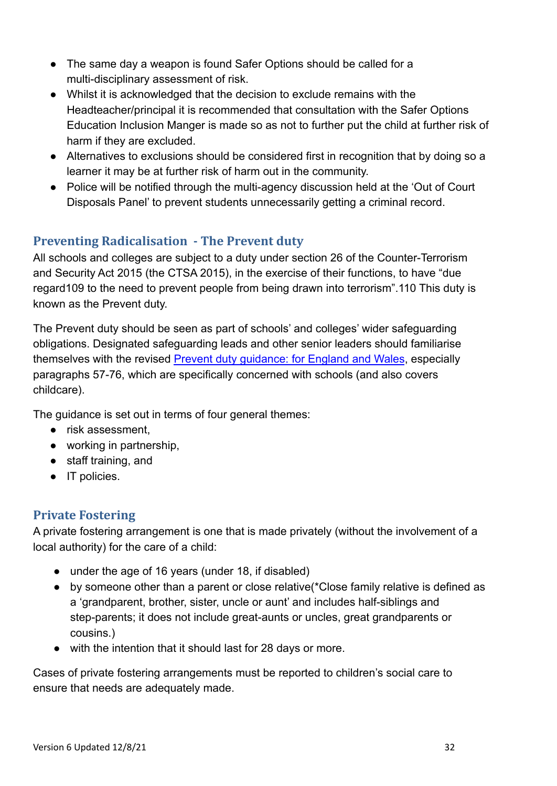- The same day a weapon is found Safer Options should be called for a multi-disciplinary assessment of risk.
- Whilst it is acknowledged that the decision to exclude remains with the Headteacher/principal it is recommended that consultation with the Safer Options Education Inclusion Manger is made so as not to further put the child at further risk of harm if they are excluded.
- Alternatives to exclusions should be considered first in recognition that by doing so a learner it may be at further risk of harm out in the community.
- Police will be notified through the multi-agency discussion held at the 'Out of Court Disposals Panel' to prevent students unnecessarily getting a criminal record.

# <span id="page-31-0"></span>**Preventing Radicalisation - The Prevent duty**

All schools and colleges are subject to a duty under section 26 of the Counter-Terrorism and Security Act 2015 (the CTSA 2015), in the exercise of their functions, to have "due regard109 to the need to prevent people from being drawn into terrorism".110 This duty is known as the Prevent duty.

The Prevent duty should be seen as part of schools' and colleges' wider safeguarding obligations. Designated safeguarding leads and other senior leaders should familiarise themselves with the revised [Prevent duty guidance:](https://www.gov.uk/government/publications/prevent-duty-guidance) for England and Wales, especially paragraphs 57-76, which are specifically concerned with schools (and also covers childcare).

The guidance is set out in terms of four general themes:

- risk assessment,
- working in partnership,
- staff training, and
- IT policies.

# <span id="page-31-1"></span>**Private Fostering**

A private fostering arrangement is one that is made privately (without the involvement of a local authority) for the care of a child:

- under the age of 16 years (under 18, if disabled)
- by someone other than a parent or close relative(\*Close family relative is defined as a 'grandparent, brother, sister, uncle or aunt' and includes half-siblings and step-parents; it does not include great-aunts or uncles, great grandparents or cousins.)
- **●** with the intention that it should last for 28 days or more.

Cases of private fostering arrangements must be reported to children's social care to ensure that needs are adequately made.